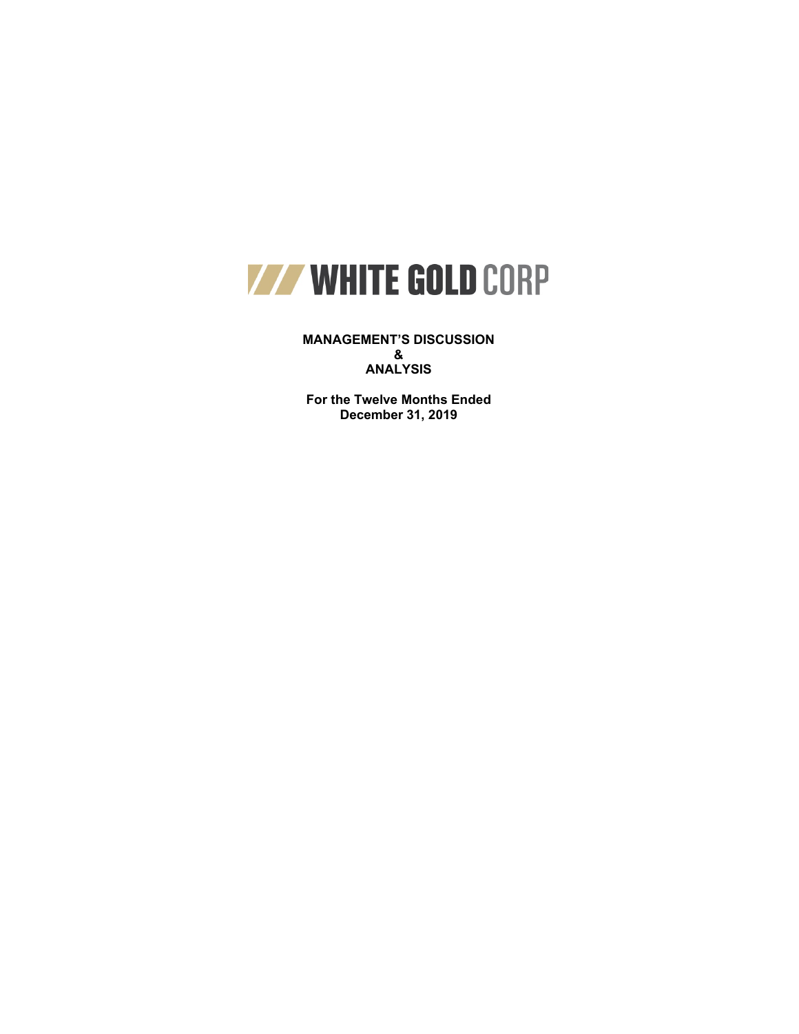

**MANAGEMENT'S DISCUSSION & ANALYSIS**

**For the Twelve Months Ended December 31, 2019**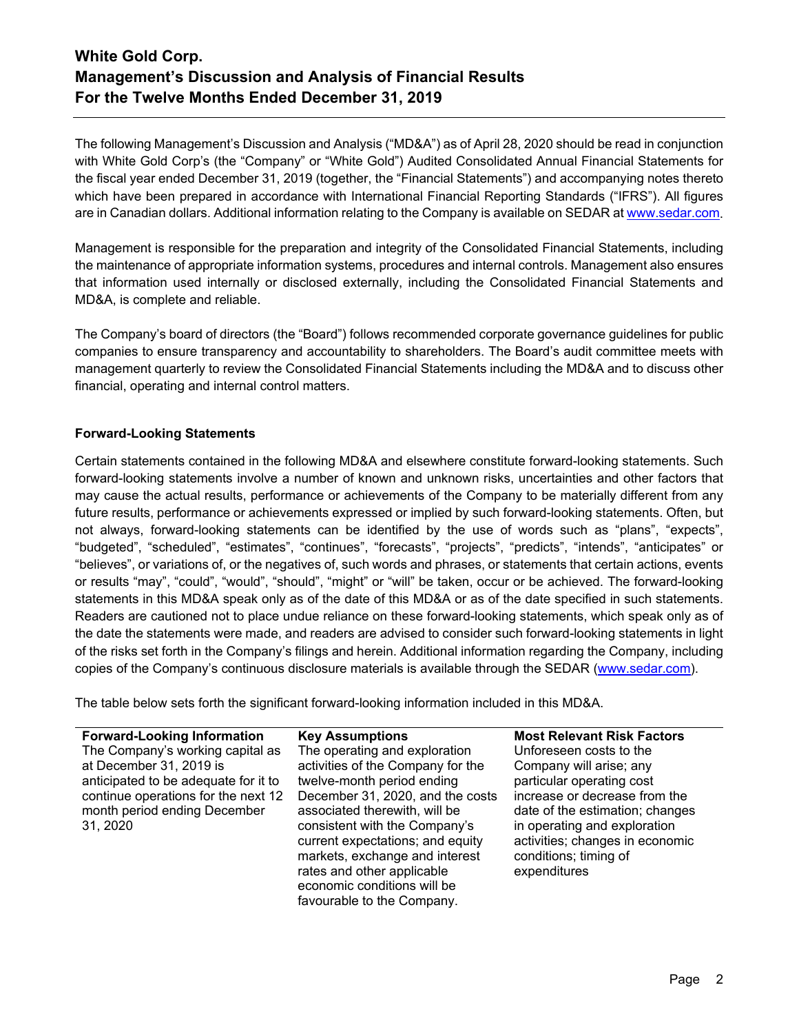The following Management's Discussion and Analysis ("MD&A") as of April 28, 2020 should be read in conjunction with White Gold Corp's (the "Company" or "White Gold") Audited Consolidated Annual Financial Statements for the fiscal year ended December 31, 2019 (together, the "Financial Statements") and accompanying notes thereto which have been prepared in accordance with International Financial Reporting Standards ("IFRS"). All figures are in Canadian dollars. Additional information relating to the Company is available on SEDAR a[t www.sedar.com.](http://www.sedar.com/)

Management is responsible for the preparation and integrity of the Consolidated Financial Statements, including the maintenance of appropriate information systems, procedures and internal controls. Management also ensures that information used internally or disclosed externally, including the Consolidated Financial Statements and MD&A, is complete and reliable.

The Company's board of directors (the "Board") follows recommended corporate governance guidelines for public companies to ensure transparency and accountability to shareholders. The Board's audit committee meets with management quarterly to review the Consolidated Financial Statements including the MD&A and to discuss other financial, operating and internal control matters.

## **Forward-Looking Statements**

Certain statements contained in the following MD&A and elsewhere constitute forward-looking statements. Such forward-looking statements involve a number of known and unknown risks, uncertainties and other factors that may cause the actual results, performance or achievements of the Company to be materially different from any future results, performance or achievements expressed or implied by such forward-looking statements. Often, but not always, forward-looking statements can be identified by the use of words such as "plans", "expects", "budgeted", "scheduled", "estimates", "continues", "forecasts", "projects", "predicts", "intends", "anticipates" or "believes", or variations of, or the negatives of, such words and phrases, or statements that certain actions, events or results "may", "could", "would", "should", "might" or "will" be taken, occur or be achieved. The forward-looking statements in this MD&A speak only as of the date of this MD&A or as of the date specified in such statements. Readers are cautioned not to place undue reliance on these forward-looking statements, which speak only as of the date the statements were made, and readers are advised to consider such forward-looking statements in light of the risks set forth in the Company's filings and herein. Additional information regarding the Company, including copies of the Company's continuous disclosure materials is available through the SEDAR [\(www.sedar.com\)](http://www.sedar.com/).

The table below sets forth the significant forward-looking information included in this MD&A.

| <b>Forward-Looking Information</b>   | <b>Key Assumptions</b>            | <b>Most Relevant Risk Factors</b> |
|--------------------------------------|-----------------------------------|-----------------------------------|
| The Company's working capital as     | The operating and exploration     | Unforeseen costs to the           |
| at December 31, 2019 is              | activities of the Company for the | Company will arise; any           |
| anticipated to be adequate for it to | twelve-month period ending        | particular operating cost         |
| continue operations for the next 12  | December 31, 2020, and the costs  | increase or decrease from the     |
| month period ending December         | associated therewith, will be     | date of the estimation; changes   |
| 31, 2020                             | consistent with the Company's     | in operating and exploration      |
|                                      | current expectations; and equity  | activities; changes in economic   |
|                                      | markets, exchange and interest    | conditions; timing of             |
|                                      | rates and other applicable        | expenditures                      |
|                                      | economic conditions will be       |                                   |
|                                      | favourable to the Company.        |                                   |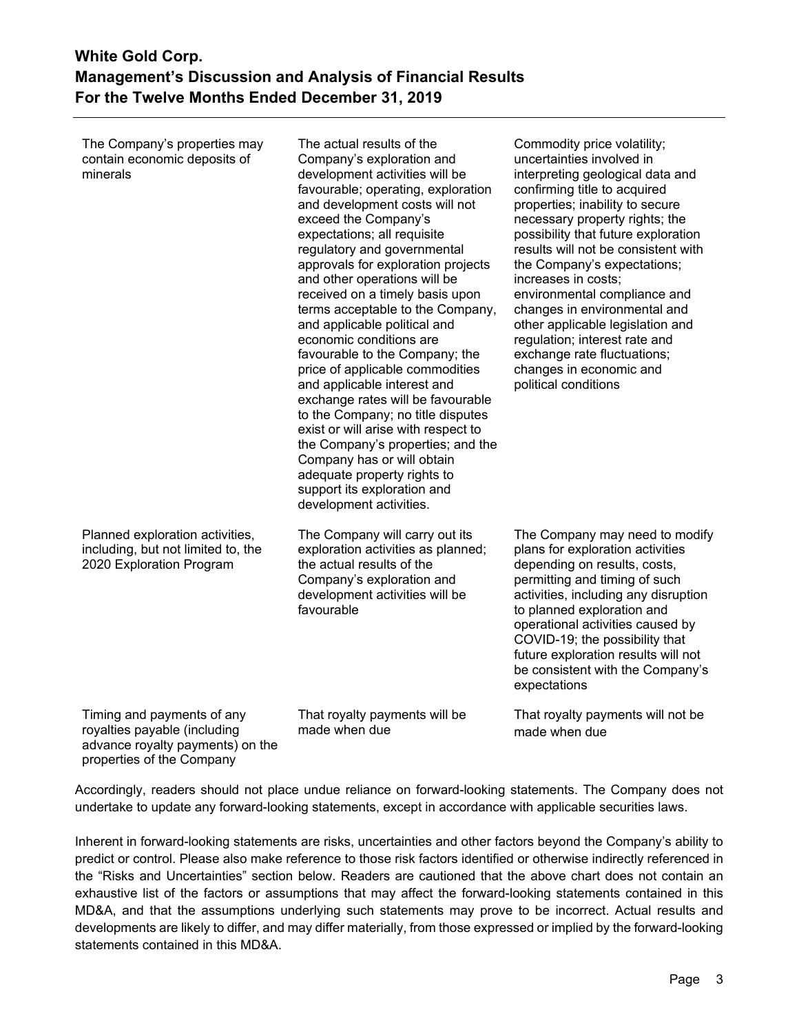The Company's properties may contain economic deposits of minerals

The actual results of the Company's exploration and development activities will be favourable; operating, exploration and development costs will not exceed the Company's expectations; all requisite regulatory and governmental approvals for exploration projects and other operations will be received on a timely basis upon terms acceptable to the Company, and applicable political and economic conditions are favourable to the Company; the price of applicable commodities and applicable interest and exchange rates will be favourable to the Company; no title disputes exist or will arise with respect to the Company's properties; and the Company has or will obtain adequate property rights to support its exploration and development activities.

The Company will carry out its exploration activities as planned; the actual results of the Company's exploration and development activities will be favourable

Timing and payments of any royalties payable (including advance royalty payments) on the properties of the Company

Planned exploration activities, including, but not limited to, the 2020 Exploration Program

> That royalty payments will be made when due

Commodity price volatility; uncertainties involved in interpreting geological data and confirming title to acquired properties; inability to secure necessary property rights; the possibility that future exploration results will not be consistent with the Company's expectations; increases in costs; environmental compliance and changes in environmental and other applicable legislation and regulation; interest rate and exchange rate fluctuations; changes in economic and political conditions

The Company may need to modify plans for exploration activities depending on results, costs, permitting and timing of such activities, including any disruption to planned exploration and operational activities caused by COVID-19; the possibility that future exploration results will not be consistent with the Company's expectations

That royalty payments will not be made when due

Accordingly, readers should not place undue reliance on forward-looking statements. The Company does not undertake to update any forward-looking statements, except in accordance with applicable securities laws.

Inherent in forward-looking statements are risks, uncertainties and other factors beyond the Company's ability to predict or control. Please also make reference to those risk factors identified or otherwise indirectly referenced in the "Risks and Uncertainties" section below. Readers are cautioned that the above chart does not contain an exhaustive list of the factors or assumptions that may affect the forward-looking statements contained in this MD&A, and that the assumptions underlying such statements may prove to be incorrect. Actual results and developments are likely to differ, and may differ materially, from those expressed or implied by the forward-looking statements contained in this MD&A.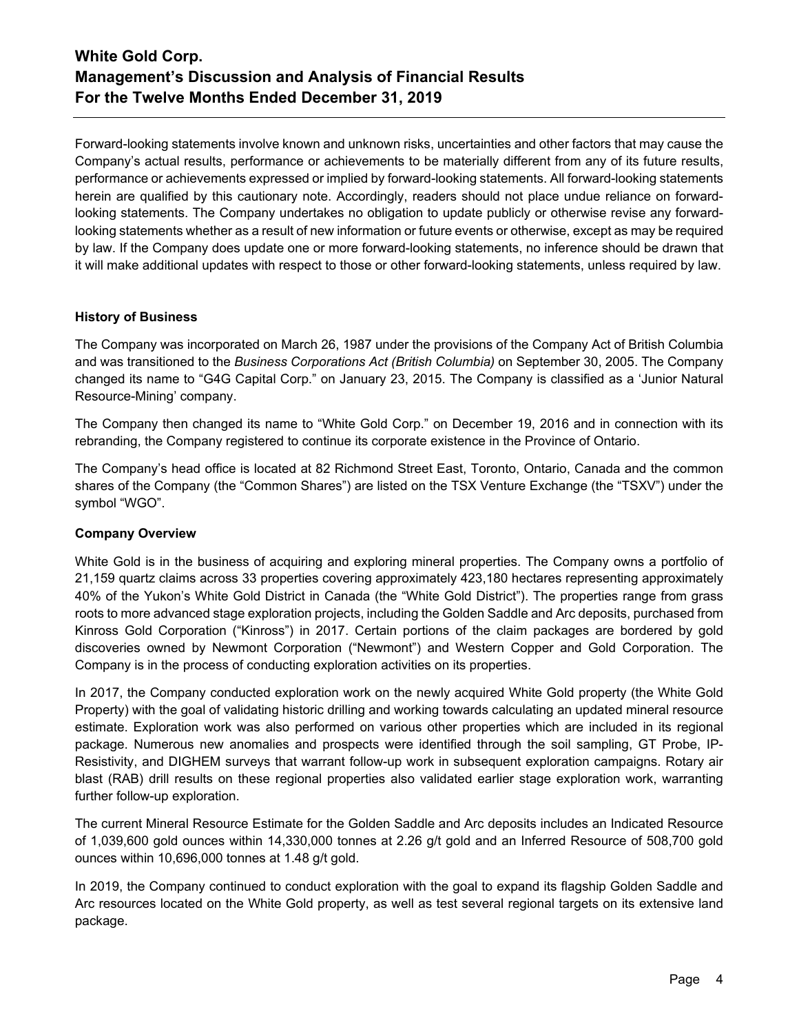Forward-looking statements involve known and unknown risks, uncertainties and other factors that may cause the Company's actual results, performance or achievements to be materially different from any of its future results, performance or achievements expressed or implied by forward-looking statements. All forward-looking statements herein are qualified by this cautionary note. Accordingly, readers should not place undue reliance on forwardlooking statements. The Company undertakes no obligation to update publicly or otherwise revise any forwardlooking statements whether as a result of new information or future events or otherwise, except as may be required by law. If the Company does update one or more forward-looking statements, no inference should be drawn that it will make additional updates with respect to those or other forward-looking statements, unless required by law.

## **History of Business**

The Company was incorporated on March 26, 1987 under the provisions of the Company Act of British Columbia and was transitioned to the *Business Corporations Act (British Columbia)* on September 30, 2005. The Company changed its name to "G4G Capital Corp." on January 23, 2015. The Company is classified as a 'Junior Natural Resource-Mining' company.

The Company then changed its name to "White Gold Corp." on December 19, 2016 and in connection with its rebranding, the Company registered to continue its corporate existence in the Province of Ontario.

The Company's head office is located at 82 Richmond Street East, Toronto, Ontario, Canada and the common shares of the Company (the "Common Shares") are listed on the TSX Venture Exchange (the "TSXV") under the symbol "WGO".

## **Company Overview**

White Gold is in the business of acquiring and exploring mineral properties. The Company owns a portfolio of 21,159 quartz claims across 33 properties covering approximately 423,180 hectares representing approximately 40% of the Yukon's White Gold District in Canada (the "White Gold District"). The properties range from grass roots to more advanced stage exploration projects, including the Golden Saddle and Arc deposits, purchased from Kinross Gold Corporation ("Kinross") in 2017. Certain portions of the claim packages are bordered by gold discoveries owned by Newmont Corporation ("Newmont") and Western Copper and Gold Corporation. The Company is in the process of conducting exploration activities on its properties.

In 2017, the Company conducted exploration work on the newly acquired White Gold property (the White Gold Property) with the goal of validating historic drilling and working towards calculating an updated mineral resource estimate. Exploration work was also performed on various other properties which are included in its regional package. Numerous new anomalies and prospects were identified through the soil sampling, GT Probe, IP-Resistivity, and DIGHEM surveys that warrant follow-up work in subsequent exploration campaigns. Rotary air blast (RAB) drill results on these regional properties also validated earlier stage exploration work, warranting further follow-up exploration.

The current Mineral Resource Estimate for the Golden Saddle and Arc deposits includes an Indicated Resource of 1,039,600 gold ounces within 14,330,000 tonnes at 2.26 g/t gold and an Inferred Resource of 508,700 gold ounces within 10,696,000 tonnes at 1.48 g/t gold.

In 2019, the Company continued to conduct exploration with the goal to expand its flagship Golden Saddle and Arc resources located on the White Gold property, as well as test several regional targets on its extensive land package.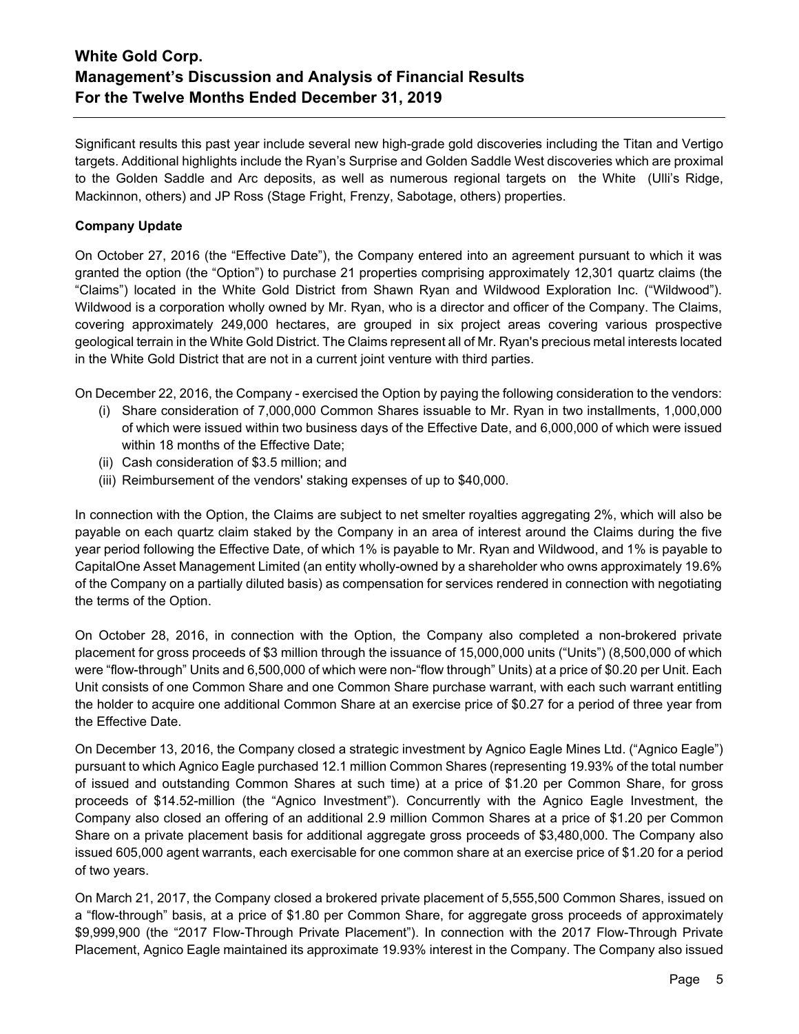Significant results this past year include several new high-grade gold discoveries including the Titan and Vertigo targets. Additional highlights include the Ryan's Surprise and Golden Saddle West discoveries which are proximal to the Golden Saddle and Arc deposits, as well as numerous regional targets on the White (Ulli's Ridge, Mackinnon, others) and JP Ross (Stage Fright, Frenzy, Sabotage, others) properties.

## **Company Update**

On October 27, 2016 (the "Effective Date"), the Company entered into an agreement pursuant to which it was granted the option (the "Option") to purchase 21 properties comprising approximately 12,301 quartz claims (the "Claims") located in the White Gold District from Shawn Ryan and Wildwood Exploration Inc. ("Wildwood"). Wildwood is a corporation wholly owned by Mr. Ryan, who is a director and officer of the Company. The Claims, covering approximately 249,000 hectares, are grouped in six project areas covering various prospective geological terrain in the White Gold District. The Claims represent all of Mr. Ryan's precious metal interests located in the White Gold District that are not in a current joint venture with third parties.

On December 22, 2016, the Company - exercised the Option by paying the following consideration to the vendors:

- (i) Share consideration of 7,000,000 Common Shares issuable to Mr. Ryan in two installments, 1,000,000 of which were issued within two business days of the Effective Date, and 6,000,000 of which were issued within 18 months of the Effective Date;
- (ii) Cash consideration of \$3.5 million; and
- (iii) Reimbursement of the vendors' staking expenses of up to \$40,000.

In connection with the Option, the Claims are subject to net smelter royalties aggregating 2%, which will also be payable on each quartz claim staked by the Company in an area of interest around the Claims during the five year period following the Effective Date, of which 1% is payable to Mr. Ryan and Wildwood, and 1% is payable to CapitalOne Asset Management Limited (an entity wholly-owned by a shareholder who owns approximately 19.6% of the Company on a partially diluted basis) as compensation for services rendered in connection with negotiating the terms of the Option.

On October 28, 2016, in connection with the Option, the Company also completed a non-brokered private placement for gross proceeds of \$3 million through the issuance of 15,000,000 units ("Units") (8,500,000 of which were "flow-through" Units and 6,500,000 of which were non-"flow through" Units) at a price of \$0.20 per Unit. Each Unit consists of one Common Share and one Common Share purchase warrant, with each such warrant entitling the holder to acquire one additional Common Share at an exercise price of \$0.27 for a period of three year from the Effective Date.

On December 13, 2016, the Company closed a strategic investment by Agnico Eagle Mines Ltd. ("Agnico Eagle") pursuant to which Agnico Eagle purchased 12.1 million Common Shares (representing 19.93% of the total number of issued and outstanding Common Shares at such time) at a price of \$1.20 per Common Share, for gross proceeds of \$14.52-million (the "Agnico Investment"). Concurrently with the Agnico Eagle Investment, the Company also closed an offering of an additional 2.9 million Common Shares at a price of \$1.20 per Common Share on a private placement basis for additional aggregate gross proceeds of \$3,480,000. The Company also issued 605,000 agent warrants, each exercisable for one common share at an exercise price of \$1.20 for a period of two years.

On March 21, 2017, the Company closed a brokered private placement of 5,555,500 Common Shares, issued on a "flow-through" basis, at a price of \$1.80 per Common Share, for aggregate gross proceeds of approximately \$9,999,900 (the "2017 Flow-Through Private Placement"). In connection with the 2017 Flow-Through Private Placement, Agnico Eagle maintained its approximate 19.93% interest in the Company. The Company also issued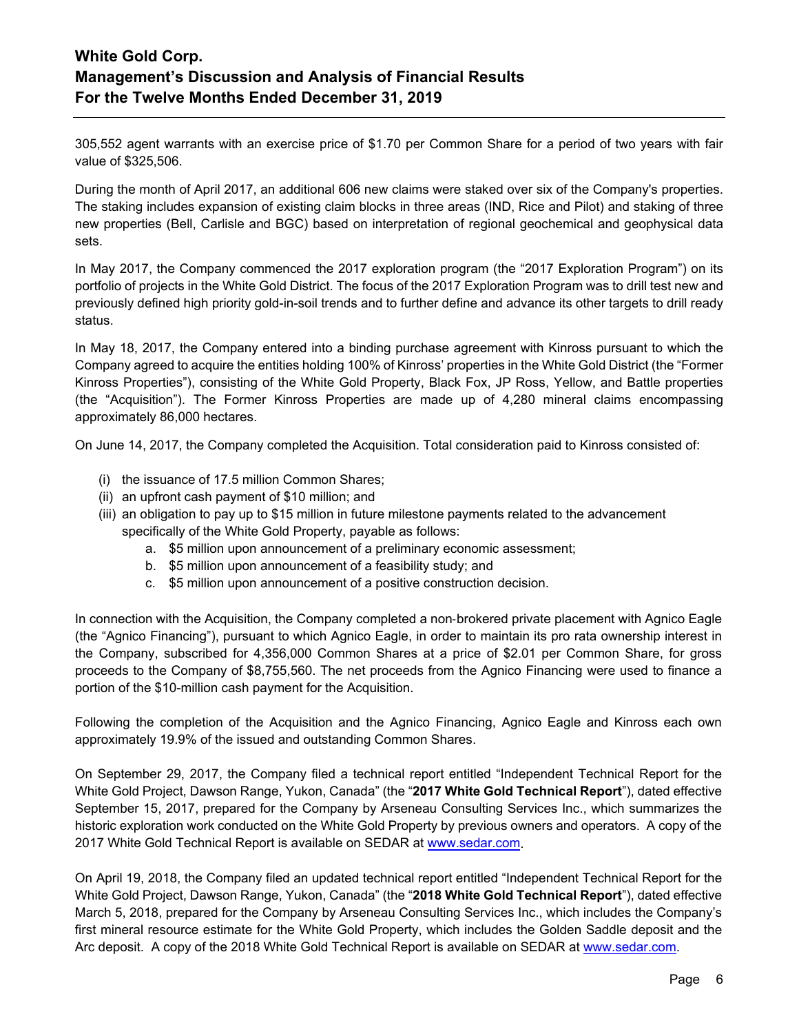305,552 agent warrants with an exercise price of \$1.70 per Common Share for a period of two years with fair value of \$325,506.

During the month of April 2017, an additional 606 new claims were staked over six of the Company's properties. The staking includes expansion of existing claim blocks in three areas (IND, Rice and Pilot) and staking of three new properties (Bell, Carlisle and BGC) based on interpretation of regional geochemical and geophysical data sets.

In May 2017, the Company commenced the 2017 exploration program (the "2017 Exploration Program") on its portfolio of projects in the White Gold District. The focus of the 2017 Exploration Program was to drill test new and previously defined high priority gold-in-soil trends and to further define and advance its other targets to drill ready status.

In May 18, 2017, the Company entered into a binding purchase agreement with Kinross pursuant to which the Company agreed to acquire the entities holding 100% of Kinross' properties in the White Gold District (the "Former Kinross Properties"), consisting of the White Gold Property, Black Fox, JP Ross, Yellow, and Battle properties (the "Acquisition"). The Former Kinross Properties are made up of 4,280 mineral claims encompassing approximately 86,000 hectares.

On June 14, 2017, the Company completed the Acquisition. Total consideration paid to Kinross consisted of:

- (i) the issuance of 17.5 million Common Shares;
- (ii) an upfront cash payment of \$10 million; and
- (iii) an obligation to pay up to \$15 million in future milestone payments related to the advancement specifically of the White Gold Property, payable as follows:
	- a. \$5 million upon announcement of a preliminary economic assessment;
	- b. \$5 million upon announcement of a feasibility study; and
	- c. \$5 million upon announcement of a positive construction decision.

In connection with the Acquisition, the Company completed a non-brokered private placement with Agnico Eagle (the "Agnico Financing"), pursuant to which Agnico Eagle, in order to maintain its pro rata ownership interest in the Company, subscribed for 4,356,000 Common Shares at a price of \$2.01 per Common Share, for gross proceeds to the Company of \$8,755,560. The net proceeds from the Agnico Financing were used to finance a portion of the \$10-million cash payment for the Acquisition.

Following the completion of the Acquisition and the Agnico Financing, Agnico Eagle and Kinross each own approximately 19.9% of the issued and outstanding Common Shares.

On September 29, 2017, the Company filed a technical report entitled "Independent Technical Report for the White Gold Project, Dawson Range, Yukon, Canada" (the "**2017 White Gold Technical Report**"), dated effective September 15, 2017, prepared for the Company by Arseneau Consulting Services Inc., which summarizes the historic exploration work conducted on the White Gold Property by previous owners and operators. A copy of the 2017 White Gold Technical Report is available on SEDAR at [www.sedar.com.](http://www.sedar.com/)

On April 19, 2018, the Company filed an updated technical report entitled "Independent Technical Report for the White Gold Project, Dawson Range, Yukon, Canada" (the "**2018 White Gold Technical Report**"), dated effective March 5, 2018, prepared for the Company by Arseneau Consulting Services Inc., which includes the Company's first mineral resource estimate for the White Gold Property, which includes the Golden Saddle deposit and the Arc deposit. A copy of the 2018 White Gold Technical Report is available on SEDAR at [www.sedar.com.](http://www.sedar.com/)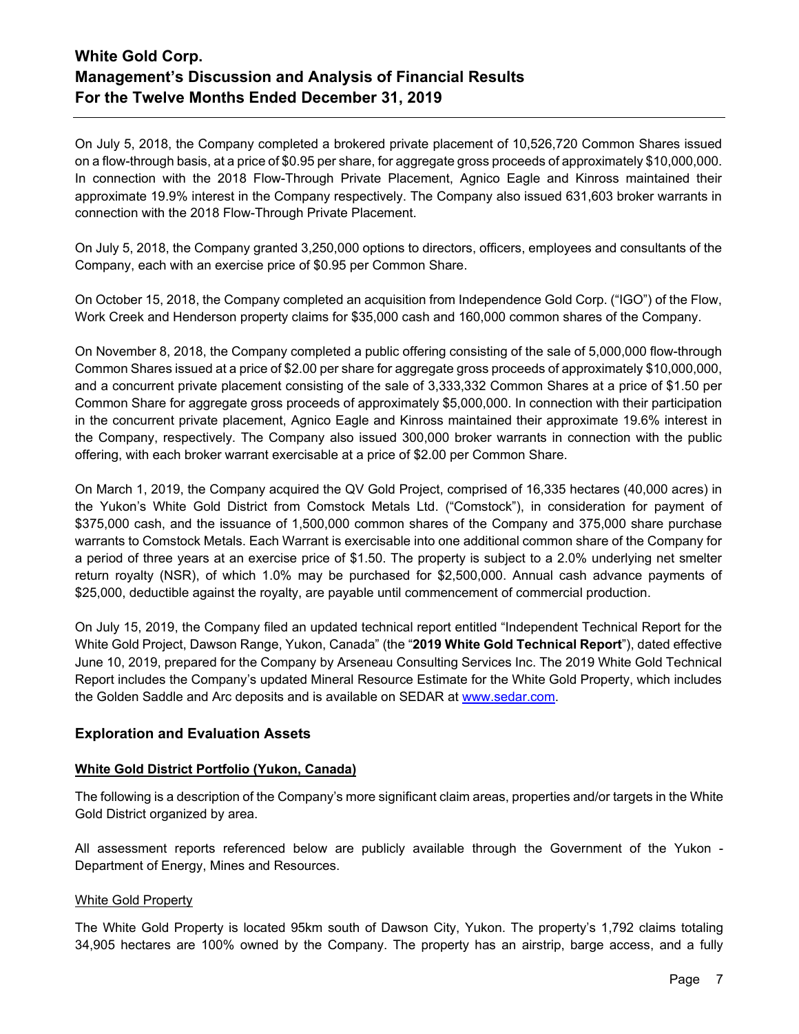On July 5, 2018, the Company completed a brokered private placement of 10,526,720 Common Shares issued on a flow-through basis, at a price of \$0.95 per share, for aggregate gross proceeds of approximately \$10,000,000. In connection with the 2018 Flow-Through Private Placement, Agnico Eagle and Kinross maintained their approximate 19.9% interest in the Company respectively. The Company also issued 631,603 broker warrants in connection with the 2018 Flow-Through Private Placement.

On July 5, 2018, the Company granted 3,250,000 options to directors, officers, employees and consultants of the Company, each with an exercise price of \$0.95 per Common Share.

On October 15, 2018, the Company completed an acquisition from Independence Gold Corp. ("IGO") of the Flow, Work Creek and Henderson property claims for \$35,000 cash and 160,000 common shares of the Company.

On November 8, 2018, the Company completed a public offering consisting of the sale of 5,000,000 flow-through Common Shares issued at a price of \$2.00 per share for aggregate gross proceeds of approximately \$10,000,000, and a concurrent private placement consisting of the sale of 3,333,332 Common Shares at a price of \$1.50 per Common Share for aggregate gross proceeds of approximately \$5,000,000. In connection with their participation in the concurrent private placement, Agnico Eagle and Kinross maintained their approximate 19.6% interest in the Company, respectively. The Company also issued 300,000 broker warrants in connection with the public offering, with each broker warrant exercisable at a price of \$2.00 per Common Share.

On March 1, 2019, the Company acquired the QV Gold Project, comprised of 16,335 hectares (40,000 acres) in the Yukon's White Gold District from Comstock Metals Ltd. ("Comstock"), in consideration for payment of \$375,000 cash, and the issuance of 1,500,000 common shares of the Company and 375,000 share purchase warrants to Comstock Metals. Each Warrant is exercisable into one additional common share of the Company for a period of three years at an exercise price of \$1.50. The property is subject to a 2.0% underlying net smelter return royalty (NSR), of which 1.0% may be purchased for \$2,500,000. Annual cash advance payments of \$25,000, deductible against the royalty, are payable until commencement of commercial production.

On July 15, 2019, the Company filed an updated technical report entitled "Independent Technical Report for the White Gold Project, Dawson Range, Yukon, Canada" (the "**2019 White Gold Technical Report**"), dated effective June 10, 2019, prepared for the Company by Arseneau Consulting Services Inc. The 2019 White Gold Technical Report includes the Company's updated Mineral Resource Estimate for the White Gold Property, which includes the Golden Saddle and Arc deposits and is available on SEDAR at [www.sedar.com.](http://www.sedar.com/)

## **Exploration and Evaluation Assets**

## **White Gold District Portfolio (Yukon, Canada)**

The following is a description of the Company's more significant claim areas, properties and/or targets in the White Gold District organized by area.

All assessment reports referenced below are publicly available through the Government of the Yukon - Department of Energy, Mines and Resources.

## White Gold Property

The White Gold Property is located 95km south of Dawson City, Yukon. The property's 1,792 claims totaling 34,905 hectares are 100% owned by the Company. The property has an airstrip, barge access, and a fully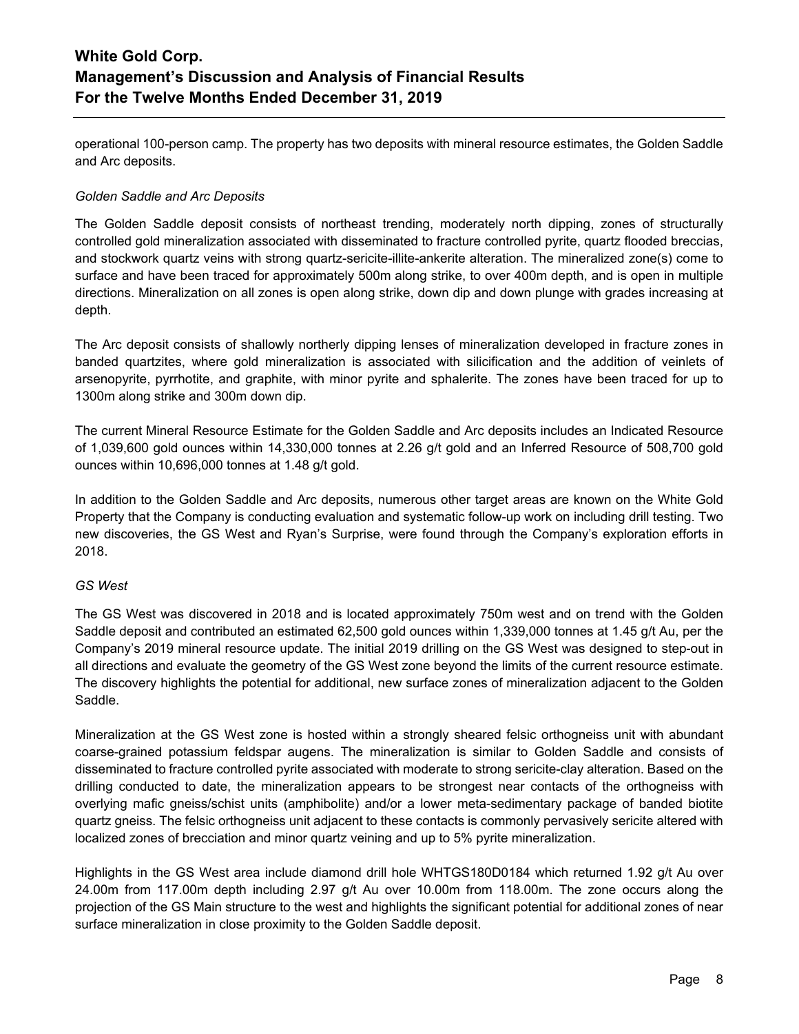operational 100-person camp. The property has two deposits with mineral resource estimates, the Golden Saddle and Arc deposits.

## *Golden Saddle and Arc Deposits*

The Golden Saddle deposit consists of northeast trending, moderately north dipping, zones of structurally controlled gold mineralization associated with disseminated to fracture controlled pyrite, quartz flooded breccias, and stockwork quartz veins with strong quartz-sericite-illite-ankerite alteration. The mineralized zone(s) come to surface and have been traced for approximately 500m along strike, to over 400m depth, and is open in multiple directions. Mineralization on all zones is open along strike, down dip and down plunge with grades increasing at depth.

The Arc deposit consists of shallowly northerly dipping lenses of mineralization developed in fracture zones in banded quartzites, where gold mineralization is associated with silicification and the addition of veinlets of arsenopyrite, pyrrhotite, and graphite, with minor pyrite and sphalerite. The zones have been traced for up to 1300m along strike and 300m down dip.

The current Mineral Resource Estimate for the Golden Saddle and Arc deposits includes an Indicated Resource of 1,039,600 gold ounces within 14,330,000 tonnes at 2.26 g/t gold and an Inferred Resource of 508,700 gold ounces within 10,696,000 tonnes at 1.48 g/t gold.

In addition to the Golden Saddle and Arc deposits, numerous other target areas are known on the White Gold Property that the Company is conducting evaluation and systematic follow-up work on including drill testing. Two new discoveries, the GS West and Ryan's Surprise, were found through the Company's exploration efforts in 2018.

### *GS West*

The GS West was discovered in 2018 and is located approximately 750m west and on trend with the Golden Saddle deposit and contributed an estimated 62,500 gold ounces within 1,339,000 tonnes at 1.45 g/t Au, per the Company's 2019 mineral resource update. The initial 2019 drilling on the GS West was designed to step-out in all directions and evaluate the geometry of the GS West zone beyond the limits of the current resource estimate. The discovery highlights the potential for additional, new surface zones of mineralization adjacent to the Golden Saddle.

Mineralization at the GS West zone is hosted within a strongly sheared felsic orthogneiss unit with abundant coarse-grained potassium feldspar augens. The mineralization is similar to Golden Saddle and consists of disseminated to fracture controlled pyrite associated with moderate to strong sericite-clay alteration. Based on the drilling conducted to date, the mineralization appears to be strongest near contacts of the orthogneiss with overlying mafic gneiss/schist units (amphibolite) and/or a lower meta-sedimentary package of banded biotite quartz gneiss. The felsic orthogneiss unit adjacent to these contacts is commonly pervasively sericite altered with localized zones of brecciation and minor quartz veining and up to 5% pyrite mineralization.

Highlights in the GS West area include diamond drill hole WHTGS180D0184 which returned 1.92 g/t Au over 24.00m from 117.00m depth including 2.97 g/t Au over 10.00m from 118.00m. The zone occurs along the projection of the GS Main structure to the west and highlights the significant potential for additional zones of near surface mineralization in close proximity to the Golden Saddle deposit.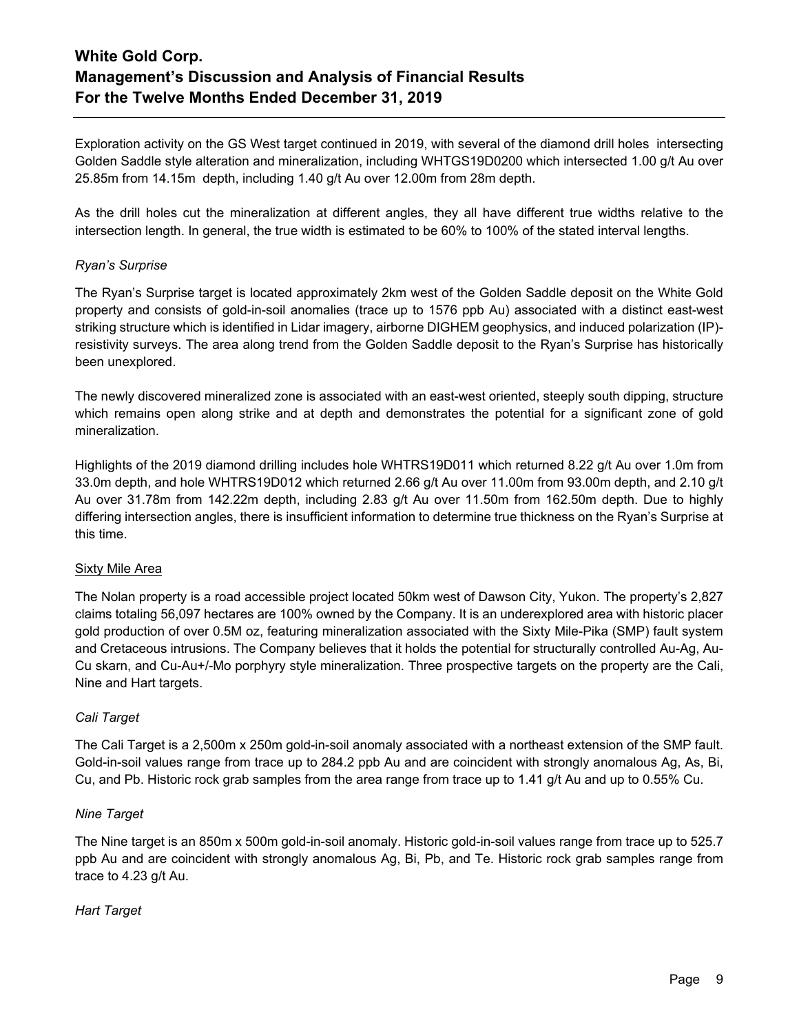Exploration activity on the GS West target continued in 2019, with several of the diamond drill holes intersecting Golden Saddle style alteration and mineralization, including WHTGS19D0200 which intersected 1.00 g/t Au over 25.85m from 14.15m depth, including 1.40 g/t Au over 12.00m from 28m depth.

As the drill holes cut the mineralization at different angles, they all have different true widths relative to the intersection length. In general, the true width is estimated to be 60% to 100% of the stated interval lengths.

## *Ryan's Surprise*

The Ryan's Surprise target is located approximately 2km west of the Golden Saddle deposit on the White Gold property and consists of gold-in-soil anomalies (trace up to 1576 ppb Au) associated with a distinct east-west striking structure which is identified in Lidar imagery, airborne DIGHEM geophysics, and induced polarization (IP) resistivity surveys. The area along trend from the Golden Saddle deposit to the Ryan's Surprise has historically been unexplored.

The newly discovered mineralized zone is associated with an east-west oriented, steeply south dipping, structure which remains open along strike and at depth and demonstrates the potential for a significant zone of gold mineralization.

Highlights of the 2019 diamond drilling includes hole WHTRS19D011 which returned 8.22 g/t Au over 1.0m from 33.0m depth, and hole WHTRS19D012 which returned 2.66 g/t Au over 11.00m from 93.00m depth, and 2.10 g/t Au over 31.78m from 142.22m depth, including 2.83 g/t Au over 11.50m from 162.50m depth. Due to highly differing intersection angles, there is insufficient information to determine true thickness on the Ryan's Surprise at this time.

## Sixty Mile Area

The Nolan property is a road accessible project located 50km west of Dawson City, Yukon. The property's 2,827 claims totaling 56,097 hectares are 100% owned by the Company. It is an underexplored area with historic placer gold production of over 0.5M oz, featuring mineralization associated with the Sixty Mile-Pika (SMP) fault system and Cretaceous intrusions. The Company believes that it holds the potential for structurally controlled Au-Ag, Au-Cu skarn, and Cu-Au+/-Mo porphyry style mineralization. Three prospective targets on the property are the Cali, Nine and Hart targets.

## *Cali Target*

The Cali Target is a 2,500m x 250m gold-in-soil anomaly associated with a northeast extension of the SMP fault. Gold-in-soil values range from trace up to 284.2 ppb Au and are coincident with strongly anomalous Ag, As, Bi, Cu, and Pb. Historic rock grab samples from the area range from trace up to 1.41 g/t Au and up to 0.55% Cu.

### *Nine Target*

The Nine target is an 850m x 500m gold-in-soil anomaly. Historic gold-in-soil values range from trace up to 525.7 ppb Au and are coincident with strongly anomalous Ag, Bi, Pb, and Te. Historic rock grab samples range from trace to 4.23 g/t Au.

## *Hart Target*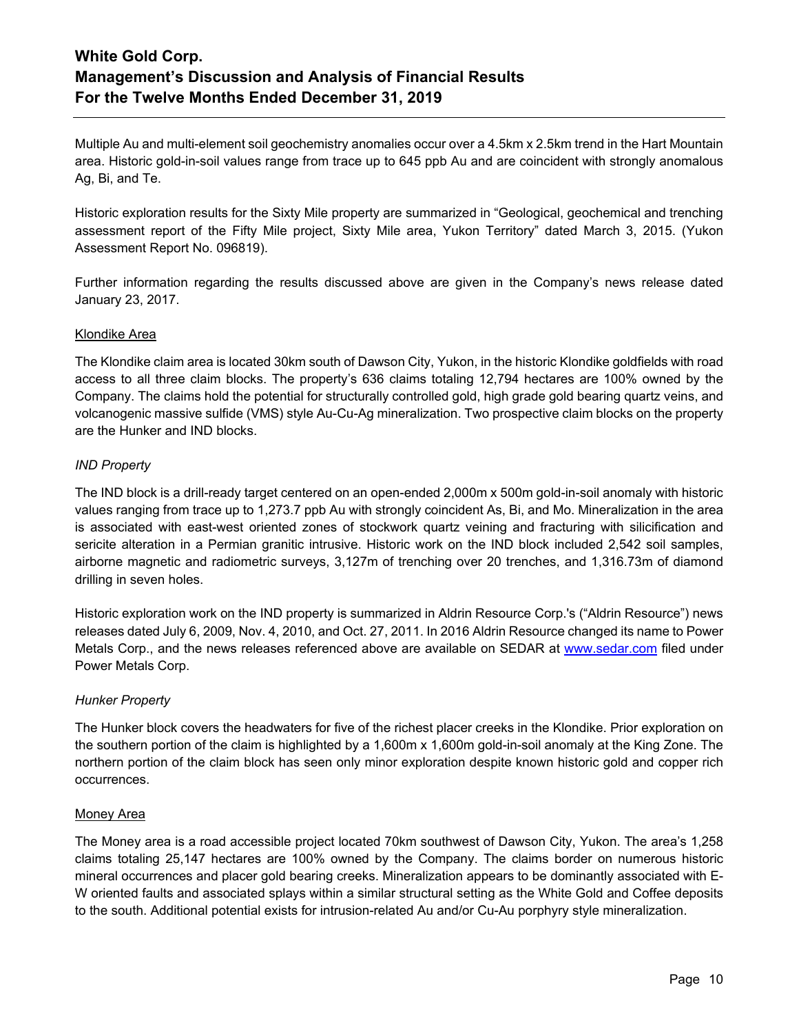Multiple Au and multi-element soil geochemistry anomalies occur over a 4.5km x 2.5km trend in the Hart Mountain area. Historic gold-in-soil values range from trace up to 645 ppb Au and are coincident with strongly anomalous Ag, Bi, and Te.

Historic exploration results for the Sixty Mile property are summarized in "Geological, geochemical and trenching assessment report of the Fifty Mile project, Sixty Mile area, Yukon Territory" dated March 3, 2015. (Yukon Assessment Report No. 096819).

Further information regarding the results discussed above are given in the Company's news release dated January 23, 2017.

## Klondike Area

The Klondike claim area is located 30km south of Dawson City, Yukon, in the historic Klondike goldfields with road access to all three claim blocks. The property's 636 claims totaling 12,794 hectares are 100% owned by the Company. The claims hold the potential for structurally controlled gold, high grade gold bearing quartz veins, and volcanogenic massive sulfide (VMS) style Au-Cu-Ag mineralization. Two prospective claim blocks on the property are the Hunker and IND blocks.

## *IND Property*

The IND block is a drill-ready target centered on an open-ended 2,000m x 500m gold-in-soil anomaly with historic values ranging from trace up to 1,273.7 ppb Au with strongly coincident As, Bi, and Mo. Mineralization in the area is associated with east-west oriented zones of stockwork quartz veining and fracturing with silicification and sericite alteration in a Permian granitic intrusive. Historic work on the IND block included 2,542 soil samples, airborne magnetic and radiometric surveys, 3,127m of trenching over 20 trenches, and 1,316.73m of diamond drilling in seven holes.

Historic exploration work on the IND property is summarized in Aldrin Resource Corp.'s ("Aldrin Resource") news releases dated July 6, 2009, Nov. 4, 2010, and Oct. 27, 2011. In 2016 Aldrin Resource changed its name to Power Metals Corp., and the news releases referenced above are available on SEDAR at [www.sedar.com](http://www.sedar.com/) filed under Power Metals Corp.

### *Hunker Property*

The Hunker block covers the headwaters for five of the richest placer creeks in the Klondike. Prior exploration on the southern portion of the claim is highlighted by a 1,600m x 1,600m gold-in-soil anomaly at the King Zone. The northern portion of the claim block has seen only minor exploration despite known historic gold and copper rich occurrences.

### Money Area

The Money area is a road accessible project located 70km southwest of Dawson City, Yukon. The area's 1,258 claims totaling 25,147 hectares are 100% owned by the Company. The claims border on numerous historic mineral occurrences and placer gold bearing creeks. Mineralization appears to be dominantly associated with E-W oriented faults and associated splays within a similar structural setting as the White Gold and Coffee deposits to the south. Additional potential exists for intrusion-related Au and/or Cu-Au porphyry style mineralization.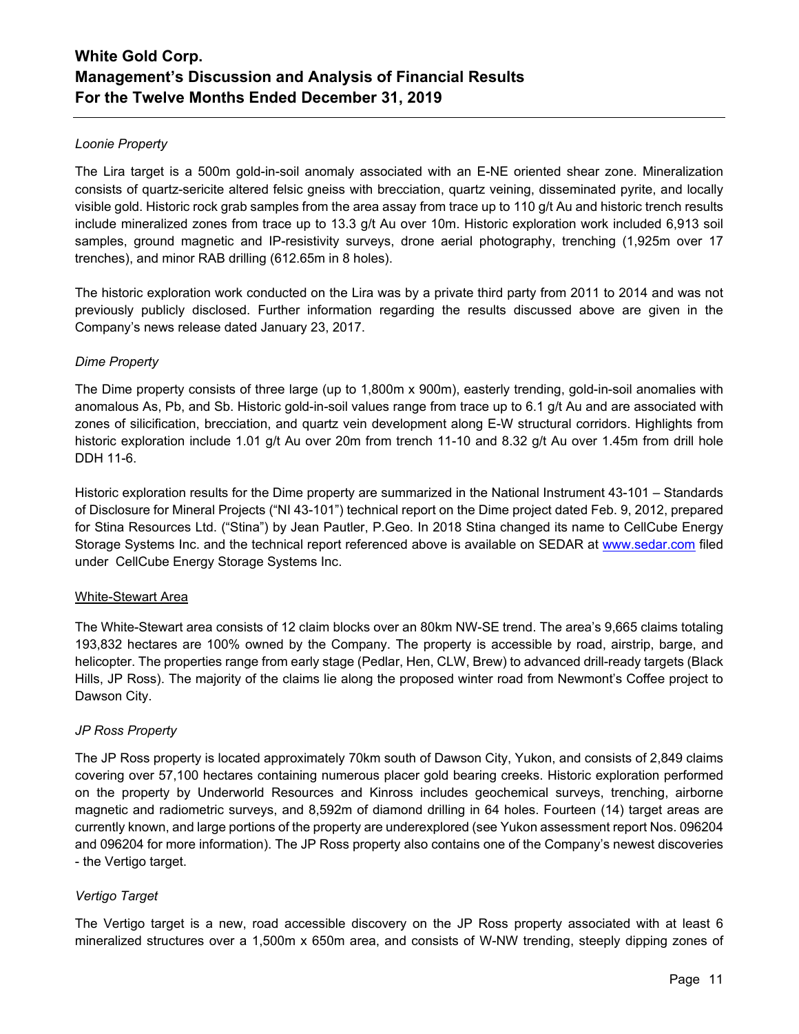## *Loonie Property*

The Lira target is a 500m gold-in-soil anomaly associated with an E-NE oriented shear zone. Mineralization consists of quartz-sericite altered felsic gneiss with brecciation, quartz veining, disseminated pyrite, and locally visible gold. Historic rock grab samples from the area assay from trace up to 110 g/t Au and historic trench results include mineralized zones from trace up to 13.3 g/t Au over 10m. Historic exploration work included 6,913 soil samples, ground magnetic and IP-resistivity surveys, drone aerial photography, trenching (1,925m over 17 trenches), and minor RAB drilling (612.65m in 8 holes).

The historic exploration work conducted on the Lira was by a private third party from 2011 to 2014 and was not previously publicly disclosed. Further information regarding the results discussed above are given in the Company's news release dated January 23, 2017.

## *Dime Property*

The Dime property consists of three large (up to 1,800m x 900m), easterly trending, gold-in-soil anomalies with anomalous As, Pb, and Sb. Historic gold-in-soil values range from trace up to 6.1 g/t Au and are associated with zones of silicification, brecciation, and quartz vein development along E-W structural corridors. Highlights from historic exploration include 1.01 g/t Au over 20m from trench 11-10 and 8.32 g/t Au over 1.45m from drill hole DDH 11-6.

Historic exploration results for the Dime property are summarized in the National Instrument 43-101 – Standards of Disclosure for Mineral Projects ("NI 43-101") technical report on the Dime project dated Feb. 9, 2012, prepared for Stina Resources Ltd. ("Stina") by Jean Pautler, P.Geo. In 2018 Stina changed its name to CellCube Energy Storage Systems Inc. and the technical report referenced above is available on SEDAR at [www.sedar.com](http://www.sedar.com/) filed under CellCube Energy Storage Systems Inc.

## White-Stewart Area

The White-Stewart area consists of 12 claim blocks over an 80km NW-SE trend. The area's 9,665 claims totaling 193,832 hectares are 100% owned by the Company. The property is accessible by road, airstrip, barge, and helicopter. The properties range from early stage (Pedlar, Hen, CLW, Brew) to advanced drill-ready targets (Black Hills, JP Ross). The majority of the claims lie along the proposed winter road from Newmont's Coffee project to Dawson City.

## *JP Ross Property*

The JP Ross property is located approximately 70km south of Dawson City, Yukon, and consists of 2,849 claims covering over 57,100 hectares containing numerous placer gold bearing creeks. Historic exploration performed on the property by Underworld Resources and Kinross includes geochemical surveys, trenching, airborne magnetic and radiometric surveys, and 8,592m of diamond drilling in 64 holes. Fourteen (14) target areas are currently known, and large portions of the property are underexplored (see Yukon assessment report Nos. 096204 and 096204 for more information). The JP Ross property also contains one of the Company's newest discoveries - the Vertigo target.

## *Vertigo Target*

The Vertigo target is a new, road accessible discovery on the JP Ross property associated with at least 6 mineralized structures over a 1,500m x 650m area, and consists of W-NW trending, steeply dipping zones of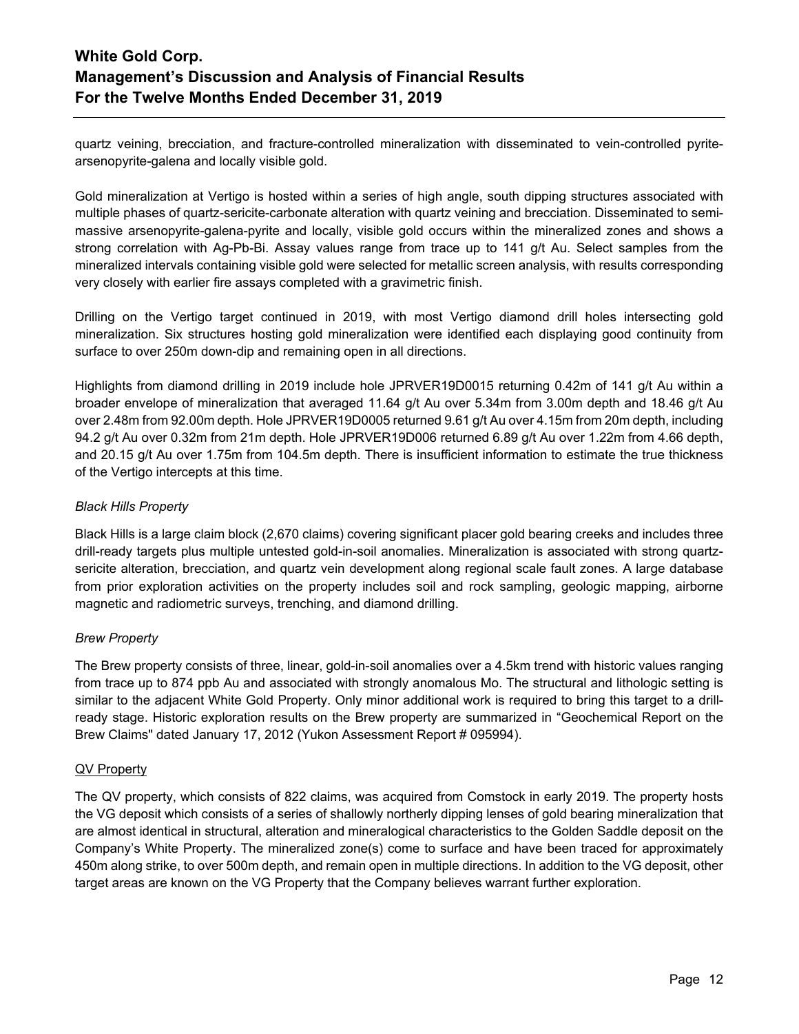quartz veining, brecciation, and fracture-controlled mineralization with disseminated to vein-controlled pyritearsenopyrite-galena and locally visible gold.

Gold mineralization at Vertigo is hosted within a series of high angle, south dipping structures associated with multiple phases of quartz-sericite-carbonate alteration with quartz veining and brecciation. Disseminated to semimassive arsenopyrite-galena-pyrite and locally, visible gold occurs within the mineralized zones and shows a strong correlation with Ag-Pb-Bi. Assay values range from trace up to 141 g/t Au. Select samples from the mineralized intervals containing visible gold were selected for metallic screen analysis, with results corresponding very closely with earlier fire assays completed with a gravimetric finish.

Drilling on the Vertigo target continued in 2019, with most Vertigo diamond drill holes intersecting gold mineralization. Six structures hosting gold mineralization were identified each displaying good continuity from surface to over 250m down-dip and remaining open in all directions.

Highlights from diamond drilling in 2019 include hole JPRVER19D0015 returning 0.42m of 141 g/t Au within a broader envelope of mineralization that averaged 11.64 g/t Au over 5.34m from 3.00m depth and 18.46 g/t Au over 2.48m from 92.00m depth. Hole JPRVER19D0005 returned 9.61 g/t Au over 4.15m from 20m depth, including 94.2 g/t Au over 0.32m from 21m depth. Hole JPRVER19D006 returned 6.89 g/t Au over 1.22m from 4.66 depth, and 20.15 g/t Au over 1.75m from 104.5m depth. There is insufficient information to estimate the true thickness of the Vertigo intercepts at this time.

## *Black Hills Property*

Black Hills is a large claim block (2,670 claims) covering significant placer gold bearing creeks and includes three drill-ready targets plus multiple untested gold-in-soil anomalies. Mineralization is associated with strong quartzsericite alteration, brecciation, and quartz vein development along regional scale fault zones. A large database from prior exploration activities on the property includes soil and rock sampling, geologic mapping, airborne magnetic and radiometric surveys, trenching, and diamond drilling.

## *Brew Property*

The Brew property consists of three, linear, gold-in-soil anomalies over a 4.5km trend with historic values ranging from trace up to 874 ppb Au and associated with strongly anomalous Mo. The structural and lithologic setting is similar to the adjacent White Gold Property. Only minor additional work is required to bring this target to a drillready stage. Historic exploration results on the Brew property are summarized in "Geochemical Report on the Brew Claims" dated January 17, 2012 (Yukon Assessment Report # 095994).

## QV Property

The QV property, which consists of 822 claims, was acquired from Comstock in early 2019. The property hosts the VG deposit which consists of a series of shallowly northerly dipping lenses of gold bearing mineralization that are almost identical in structural, alteration and mineralogical characteristics to the Golden Saddle deposit on the Company's White Property. The mineralized zone(s) come to surface and have been traced for approximately 450m along strike, to over 500m depth, and remain open in multiple directions. In addition to the VG deposit, other target areas are known on the VG Property that the Company believes warrant further exploration.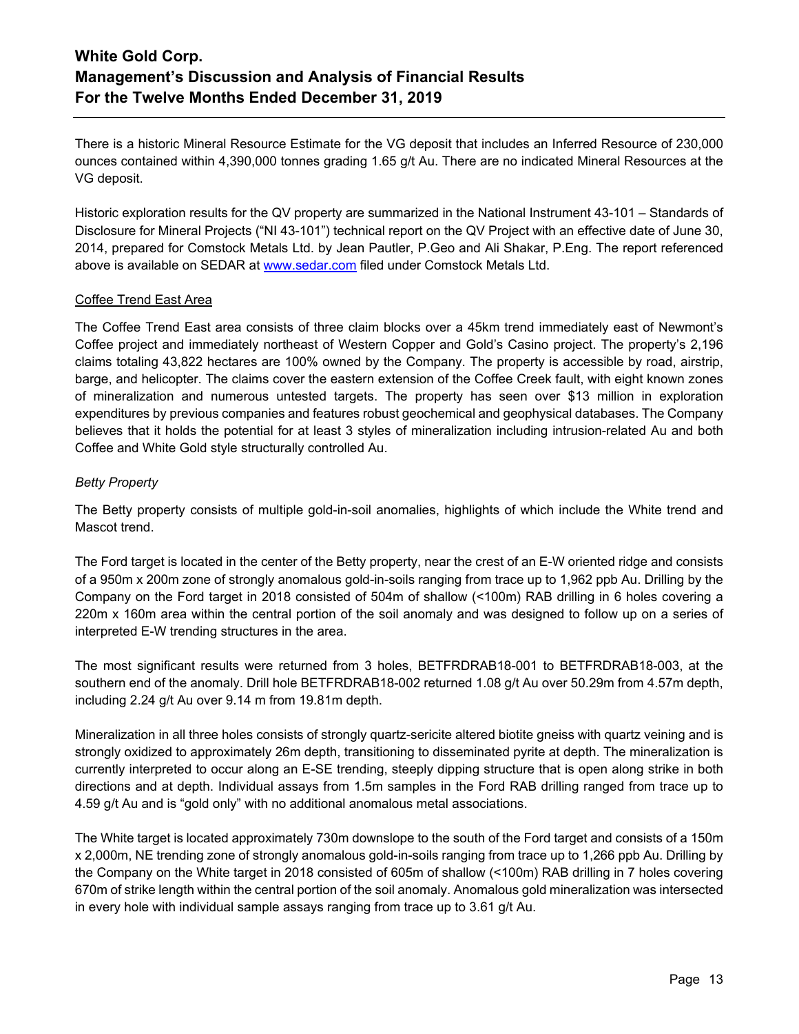There is a historic Mineral Resource Estimate for the VG deposit that includes an Inferred Resource of 230,000 ounces contained within 4,390,000 tonnes grading 1.65 g/t Au. There are no indicated Mineral Resources at the VG deposit.

Historic exploration results for the QV property are summarized in the National Instrument 43-101 – Standards of Disclosure for Mineral Projects ("NI 43-101") technical report on the QV Project with an effective date of June 30, 2014, prepared for Comstock Metals Ltd. by Jean Pautler, P.Geo and Ali Shakar, P.Eng. The report referenced above is available on SEDAR at [www.sedar.com](http://www.sedar.com/) filed under Comstock Metals Ltd.

## Coffee Trend East Area

The Coffee Trend East area consists of three claim blocks over a 45km trend immediately east of Newmont's Coffee project and immediately northeast of Western Copper and Gold's Casino project. The property's 2,196 claims totaling 43,822 hectares are 100% owned by the Company. The property is accessible by road, airstrip, barge, and helicopter. The claims cover the eastern extension of the Coffee Creek fault, with eight known zones of mineralization and numerous untested targets. The property has seen over \$13 million in exploration expenditures by previous companies and features robust geochemical and geophysical databases. The Company believes that it holds the potential for at least 3 styles of mineralization including intrusion-related Au and both Coffee and White Gold style structurally controlled Au.

## *Betty Property*

The Betty property consists of multiple gold-in-soil anomalies, highlights of which include the White trend and Mascot trend.

The Ford target is located in the center of the Betty property, near the crest of an E-W oriented ridge and consists of a 950m x 200m zone of strongly anomalous gold-in-soils ranging from trace up to 1,962 ppb Au. Drilling by the Company on the Ford target in 2018 consisted of 504m of shallow (<100m) RAB drilling in 6 holes covering a 220m x 160m area within the central portion of the soil anomaly and was designed to follow up on a series of interpreted E-W trending structures in the area.

The most significant results were returned from 3 holes, BETFRDRAB18-001 to BETFRDRAB18-003, at the southern end of the anomaly. Drill hole BETFRDRAB18-002 returned 1.08 g/t Au over 50.29m from 4.57m depth, including 2.24 g/t Au over 9.14 m from 19.81m depth.

Mineralization in all three holes consists of strongly quartz-sericite altered biotite gneiss with quartz veining and is strongly oxidized to approximately 26m depth, transitioning to disseminated pyrite at depth. The mineralization is currently interpreted to occur along an E-SE trending, steeply dipping structure that is open along strike in both directions and at depth. Individual assays from 1.5m samples in the Ford RAB drilling ranged from trace up to 4.59 g/t Au and is "gold only" with no additional anomalous metal associations.

The White target is located approximately 730m downslope to the south of the Ford target and consists of a 150m x 2,000m, NE trending zone of strongly anomalous gold-in-soils ranging from trace up to 1,266 ppb Au. Drilling by the Company on the White target in 2018 consisted of 605m of shallow (<100m) RAB drilling in 7 holes covering 670m of strike length within the central portion of the soil anomaly. Anomalous gold mineralization was intersected in every hole with individual sample assays ranging from trace up to 3.61 g/t Au.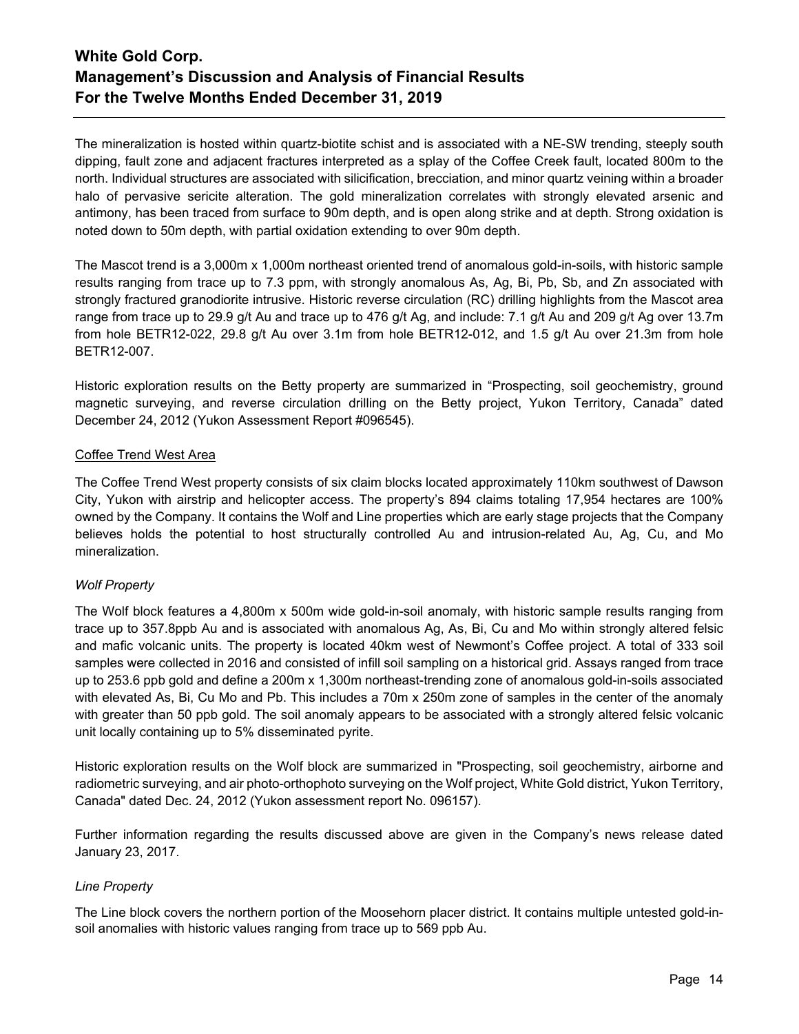The mineralization is hosted within quartz-biotite schist and is associated with a NE-SW trending, steeply south dipping, fault zone and adjacent fractures interpreted as a splay of the Coffee Creek fault, located 800m to the north. Individual structures are associated with silicification, brecciation, and minor quartz veining within a broader halo of pervasive sericite alteration. The gold mineralization correlates with strongly elevated arsenic and antimony, has been traced from surface to 90m depth, and is open along strike and at depth. Strong oxidation is noted down to 50m depth, with partial oxidation extending to over 90m depth.

The Mascot trend is a 3,000m x 1,000m northeast oriented trend of anomalous gold-in-soils, with historic sample results ranging from trace up to 7.3 ppm, with strongly anomalous As, Ag, Bi, Pb, Sb, and Zn associated with strongly fractured granodiorite intrusive. Historic reverse circulation (RC) drilling highlights from the Mascot area range from trace up to 29.9 g/t Au and trace up to 476 g/t Ag, and include: 7.1 g/t Au and 209 g/t Ag over 13.7m from hole BETR12-022, 29.8 g/t Au over 3.1m from hole BETR12-012, and 1.5 g/t Au over 21.3m from hole BETR12-007.

Historic exploration results on the Betty property are summarized in "Prospecting, soil geochemistry, ground magnetic surveying, and reverse circulation drilling on the Betty project, Yukon Territory, Canada" dated December 24, 2012 (Yukon Assessment Report #096545).

## Coffee Trend West Area

The Coffee Trend West property consists of six claim blocks located approximately 110km southwest of Dawson City, Yukon with airstrip and helicopter access. The property's 894 claims totaling 17,954 hectares are 100% owned by the Company. It contains the Wolf and Line properties which are early stage projects that the Company believes holds the potential to host structurally controlled Au and intrusion-related Au, Ag, Cu, and Mo mineralization.

## *Wolf Property*

The Wolf block features a 4,800m x 500m wide gold-in-soil anomaly, with historic sample results ranging from trace up to 357.8ppb Au and is associated with anomalous Ag, As, Bi, Cu and Mo within strongly altered felsic and mafic volcanic units. The property is located 40km west of Newmont's Coffee project. A total of 333 soil samples were collected in 2016 and consisted of infill soil sampling on a historical grid. Assays ranged from trace up to 253.6 ppb gold and define a 200m x 1,300m northeast-trending zone of anomalous gold-in-soils associated with elevated As, Bi, Cu Mo and Pb. This includes a 70m x 250m zone of samples in the center of the anomaly with greater than 50 ppb gold. The soil anomaly appears to be associated with a strongly altered felsic volcanic unit locally containing up to 5% disseminated pyrite.

Historic exploration results on the Wolf block are summarized in "Prospecting, soil geochemistry, airborne and radiometric surveying, and air photo-orthophoto surveying on the Wolf project, White Gold district, Yukon Territory, Canada" dated Dec. 24, 2012 (Yukon assessment report No. 096157).

Further information regarding the results discussed above are given in the Company's news release dated January 23, 2017.

## *Line Property*

The Line block covers the northern portion of the Moosehorn placer district. It contains multiple untested gold-insoil anomalies with historic values ranging from trace up to 569 ppb Au.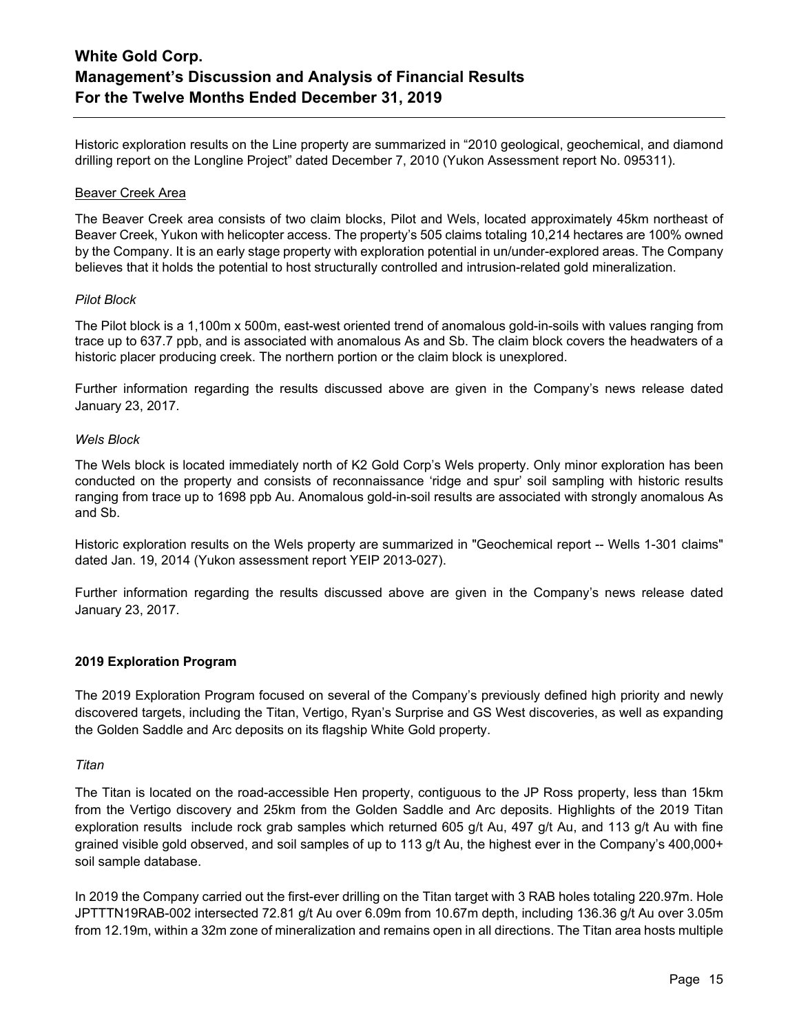Historic exploration results on the Line property are summarized in "2010 geological, geochemical, and diamond drilling report on the Longline Project" dated December 7, 2010 (Yukon Assessment report No. 095311).

### Beaver Creek Area

The Beaver Creek area consists of two claim blocks, Pilot and Wels, located approximately 45km northeast of Beaver Creek, Yukon with helicopter access. The property's 505 claims totaling 10,214 hectares are 100% owned by the Company. It is an early stage property with exploration potential in un/under-explored areas. The Company believes that it holds the potential to host structurally controlled and intrusion-related gold mineralization.

### *Pilot Block*

The Pilot block is a 1,100m x 500m, east-west oriented trend of anomalous gold-in-soils with values ranging from trace up to 637.7 ppb, and is associated with anomalous As and Sb. The claim block covers the headwaters of a historic placer producing creek. The northern portion or the claim block is unexplored.

Further information regarding the results discussed above are given in the Company's news release dated January 23, 2017.

## *Wels Block*

The Wels block is located immediately north of K2 Gold Corp's Wels property. Only minor exploration has been conducted on the property and consists of reconnaissance 'ridge and spur' soil sampling with historic results ranging from trace up to 1698 ppb Au. Anomalous gold-in-soil results are associated with strongly anomalous As and Sb.

Historic exploration results on the Wels property are summarized in "Geochemical report -- Wells 1-301 claims" dated Jan. 19, 2014 (Yukon assessment report YEIP 2013-027).

Further information regarding the results discussed above are given in the Company's news release dated January 23, 2017.

### **2019 Exploration Program**

The 2019 Exploration Program focused on several of the Company's previously defined high priority and newly discovered targets, including the Titan, Vertigo, Ryan's Surprise and GS West discoveries, as well as expanding the Golden Saddle and Arc deposits on its flagship White Gold property.

### *Titan*

The Titan is located on the road-accessible Hen property, contiguous to the JP Ross property, less than 15km from the Vertigo discovery and 25km from the Golden Saddle and Arc deposits. Highlights of the 2019 Titan exploration results include rock grab samples which returned 605 g/t Au, 497 g/t Au, and 113 g/t Au with fine grained visible gold observed, and soil samples of up to 113 g/t Au, the highest ever in the Company's 400,000+ soil sample database.

In 2019 the Company carried out the first-ever drilling on the Titan target with 3 RAB holes totaling 220.97m. Hole JPTTTN19RAB-002 intersected 72.81 g/t Au over 6.09m from 10.67m depth, including 136.36 g/t Au over 3.05m from 12.19m, within a 32m zone of mineralization and remains open in all directions. The Titan area hosts multiple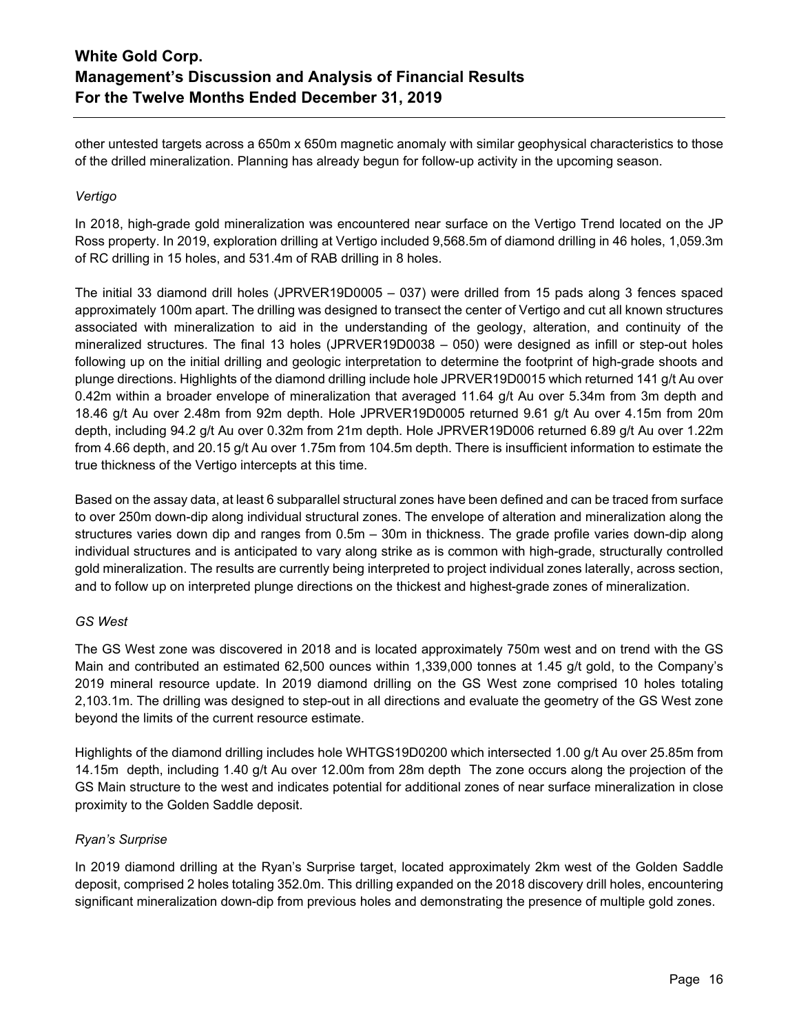other untested targets across a 650m x 650m magnetic anomaly with similar geophysical characteristics to those of the drilled mineralization. Planning has already begun for follow-up activity in the upcoming season.

## *Vertigo*

In 2018, high-grade gold mineralization was encountered near surface on the Vertigo Trend located on the JP Ross property. In 2019, exploration drilling at Vertigo included 9,568.5m of diamond drilling in 46 holes, 1,059.3m of RC drilling in 15 holes, and 531.4m of RAB drilling in 8 holes.

The initial 33 diamond drill holes (JPRVER19D0005 – 037) were drilled from 15 pads along 3 fences spaced approximately 100m apart. The drilling was designed to transect the center of Vertigo and cut all known structures associated with mineralization to aid in the understanding of the geology, alteration, and continuity of the mineralized structures. The final 13 holes (JPRVER19D0038 – 050) were designed as infill or step-out holes following up on the initial drilling and geologic interpretation to determine the footprint of high-grade shoots and plunge directions. Highlights of the diamond drilling include hole JPRVER19D0015 which returned 141 g/t Au over 0.42m within a broader envelope of mineralization that averaged 11.64 g/t Au over 5.34m from 3m depth and 18.46 g/t Au over 2.48m from 92m depth. Hole JPRVER19D0005 returned 9.61 g/t Au over 4.15m from 20m depth, including 94.2 g/t Au over 0.32m from 21m depth. Hole JPRVER19D006 returned 6.89 g/t Au over 1.22m from 4.66 depth, and 20.15 g/t Au over 1.75m from 104.5m depth. There is insufficient information to estimate the true thickness of the Vertigo intercepts at this time.

Based on the assay data, at least 6 subparallel structural zones have been defined and can be traced from surface to over 250m down-dip along individual structural zones. The envelope of alteration and mineralization along the structures varies down dip and ranges from 0.5m – 30m in thickness. The grade profile varies down-dip along individual structures and is anticipated to vary along strike as is common with high-grade, structurally controlled gold mineralization. The results are currently being interpreted to project individual zones laterally, across section, and to follow up on interpreted plunge directions on the thickest and highest-grade zones of mineralization.

## *GS West*

The GS West zone was discovered in 2018 and is located approximately 750m west and on trend with the GS Main and contributed an estimated 62,500 ounces within 1,339,000 tonnes at 1.45 g/t gold, to the Company's 2019 mineral resource update. In 2019 diamond drilling on the GS West zone comprised 10 holes totaling 2,103.1m. The drilling was designed to step-out in all directions and evaluate the geometry of the GS West zone beyond the limits of the current resource estimate.

Highlights of the diamond drilling includes hole WHTGS19D0200 which intersected 1.00 g/t Au over 25.85m from 14.15m depth, including 1.40 g/t Au over 12.00m from 28m depth The zone occurs along the projection of the GS Main structure to the west and indicates potential for additional zones of near surface mineralization in close proximity to the Golden Saddle deposit.

## *Ryan's Surprise*

In 2019 diamond drilling at the Ryan's Surprise target, located approximately 2km west of the Golden Saddle deposit, comprised 2 holes totaling 352.0m. This drilling expanded on the 2018 discovery drill holes, encountering significant mineralization down-dip from previous holes and demonstrating the presence of multiple gold zones.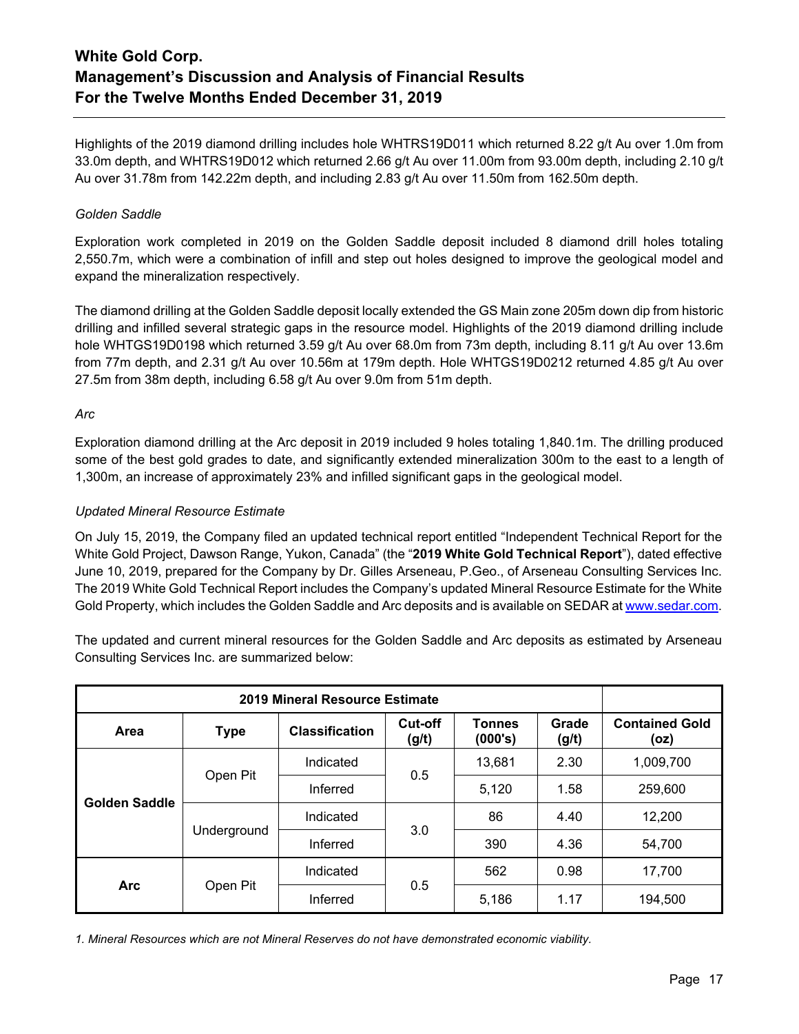Highlights of the 2019 diamond drilling includes hole WHTRS19D011 which returned 8.22 g/t Au over 1.0m from 33.0m depth, and WHTRS19D012 which returned 2.66 g/t Au over 11.00m from 93.00m depth, including 2.10 g/t Au over 31.78m from 142.22m depth, and including 2.83 g/t Au over 11.50m from 162.50m depth.

## *Golden Saddle*

Exploration work completed in 2019 on the Golden Saddle deposit included 8 diamond drill holes totaling 2,550.7m, which were a combination of infill and step out holes designed to improve the geological model and expand the mineralization respectively.

The diamond drilling at the Golden Saddle deposit locally extended the GS Main zone 205m down dip from historic drilling and infilled several strategic gaps in the resource model. Highlights of the 2019 diamond drilling include hole WHTGS19D0198 which returned 3.59 g/t Au over 68.0m from 73m depth, including 8.11 g/t Au over 13.6m from 77m depth, and 2.31 g/t Au over 10.56m at 179m depth. Hole WHTGS19D0212 returned 4.85 g/t Au over 27.5m from 38m depth, including 6.58 g/t Au over 9.0m from 51m depth.

## *Arc*

Exploration diamond drilling at the Arc deposit in 2019 included 9 holes totaling 1,840.1m. The drilling produced some of the best gold grades to date, and significantly extended mineralization 300m to the east to a length of 1,300m, an increase of approximately 23% and infilled significant gaps in the geological model.

## *Updated Mineral Resource Estimate*

On July 15, 2019, the Company filed an updated technical report entitled "Independent Technical Report for the White Gold Project, Dawson Range, Yukon, Canada" (the "**2019 White Gold Technical Report**"), dated effective June 10, 2019, prepared for the Company by Dr. Gilles Arseneau, P.Geo., of Arseneau Consulting Services Inc. The 2019 White Gold Technical Report includes the Company's updated Mineral Resource Estimate for the White Gold Property, which includes the Golden Saddle and Arc deposits and is available on SEDAR a[t www.sedar.com.](http://www.sedar.com/)

The updated and current mineral resources for the Golden Saddle and Arc deposits as estimated by Arseneau Consulting Services Inc. are summarized below:

| 2019 Mineral Resource Estimate |             |                       |                         |                          |                |                               |
|--------------------------------|-------------|-----------------------|-------------------------|--------------------------|----------------|-------------------------------|
| Area                           | <b>Type</b> | <b>Classification</b> | <b>Cut-off</b><br>(g/t) | <b>Tonnes</b><br>(000's) | Grade<br>(g/t) | <b>Contained Gold</b><br>(oz) |
| <b>Golden Saddle</b>           |             | Indicated             | 0.5                     | 13,681                   | 2.30           | 1,009,700                     |
|                                | Open Pit    | Inferred              |                         | 5,120                    | 1.58           | 259,600                       |
|                                | Underground | Indicated             | 3.0                     | 86                       | 4.40           | 12,200                        |
|                                |             | Inferred              |                         | 390                      | 4.36           | 54,700                        |
| <b>Arc</b>                     | Open Pit    | Indicated             | 0.5                     | 562                      | 0.98           | 17,700                        |
|                                |             | Inferred              |                         | 5,186                    | 1.17           | 194,500                       |

*1. Mineral Resources which are not Mineral Reserves do not have demonstrated economic viability.*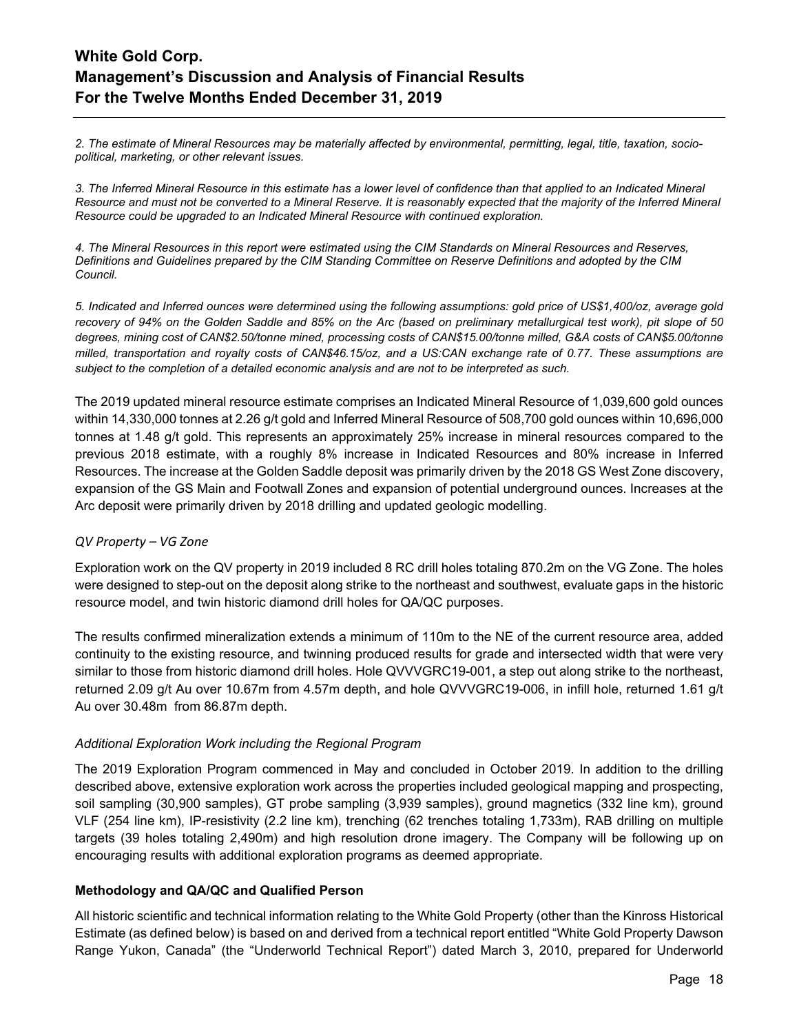*2. The estimate of Mineral Resources may be materially affected by environmental, permitting, legal, title, taxation, sociopolitical, marketing, or other relevant issues.*

*3. The Inferred Mineral Resource in this estimate has a lower level of confidence than that applied to an Indicated Mineral Resource and must not be converted to a Mineral Reserve. It is reasonably expected that the majority of the Inferred Mineral Resource could be upgraded to an Indicated Mineral Resource with continued exploration.*

*4. The Mineral Resources in this report were estimated using the CIM Standards on Mineral Resources and Reserves, Definitions and Guidelines prepared by the CIM Standing Committee on Reserve Definitions and adopted by the CIM Council.*

*5. Indicated and Inferred ounces were determined using the following assumptions: gold price of US\$1,400/oz, average gold recovery of 94% on the Golden Saddle and 85% on the Arc (based on preliminary metallurgical test work), pit slope of 50 degrees, mining cost of CAN\$2.50/tonne mined, processing costs of CAN\$15.00/tonne milled, G&A costs of CAN\$5.00/tonne milled, transportation and royalty costs of CAN\$46.15/oz, and a US:CAN exchange rate of 0.77. These assumptions are subject to the completion of a detailed economic analysis and are not to be interpreted as such.*

The 2019 updated mineral resource estimate comprises an Indicated Mineral Resource of 1,039,600 gold ounces within 14,330,000 tonnes at 2.26 g/t gold and Inferred Mineral Resource of 508,700 gold ounces within 10,696,000 tonnes at 1.48 g/t gold. This represents an approximately 25% increase in mineral resources compared to the previous 2018 estimate, with a roughly 8% increase in Indicated Resources and 80% increase in Inferred Resources. The increase at the Golden Saddle deposit was primarily driven by the 2018 GS West Zone discovery, expansion of the GS Main and Footwall Zones and expansion of potential underground ounces. Increases at the Arc deposit were primarily driven by 2018 drilling and updated geologic modelling.

## *QV Property – VG Zone*

Exploration work on the QV property in 2019 included 8 RC drill holes totaling 870.2m on the VG Zone. The holes were designed to step-out on the deposit along strike to the northeast and southwest, evaluate gaps in the historic resource model, and twin historic diamond drill holes for QA/QC purposes.

The results confirmed mineralization extends a minimum of 110m to the NE of the current resource area, added continuity to the existing resource, and twinning produced results for grade and intersected width that were very similar to those from historic diamond drill holes. Hole QVVVGRC19-001, a step out along strike to the northeast, returned 2.09 g/t Au over 10.67m from 4.57m depth, and hole QVVVGRC19-006, in infill hole, returned 1.61 g/t Au over 30.48m from 86.87m depth.

## *Additional Exploration Work including the Regional Program*

The 2019 Exploration Program commenced in May and concluded in October 2019. In addition to the drilling described above, extensive exploration work across the properties included geological mapping and prospecting, soil sampling (30,900 samples), GT probe sampling (3,939 samples), ground magnetics (332 line km), ground VLF (254 line km), IP-resistivity (2.2 line km), trenching (62 trenches totaling 1,733m), RAB drilling on multiple targets (39 holes totaling 2,490m) and high resolution drone imagery. The Company will be following up on encouraging results with additional exploration programs as deemed appropriate.

## **Methodology and QA/QC and Qualified Person**

All historic scientific and technical information relating to the White Gold Property (other than the Kinross Historical Estimate (as defined below) is based on and derived from a technical report entitled "White Gold Property Dawson Range Yukon, Canada" (the "Underworld Technical Report") dated March 3, 2010, prepared for Underworld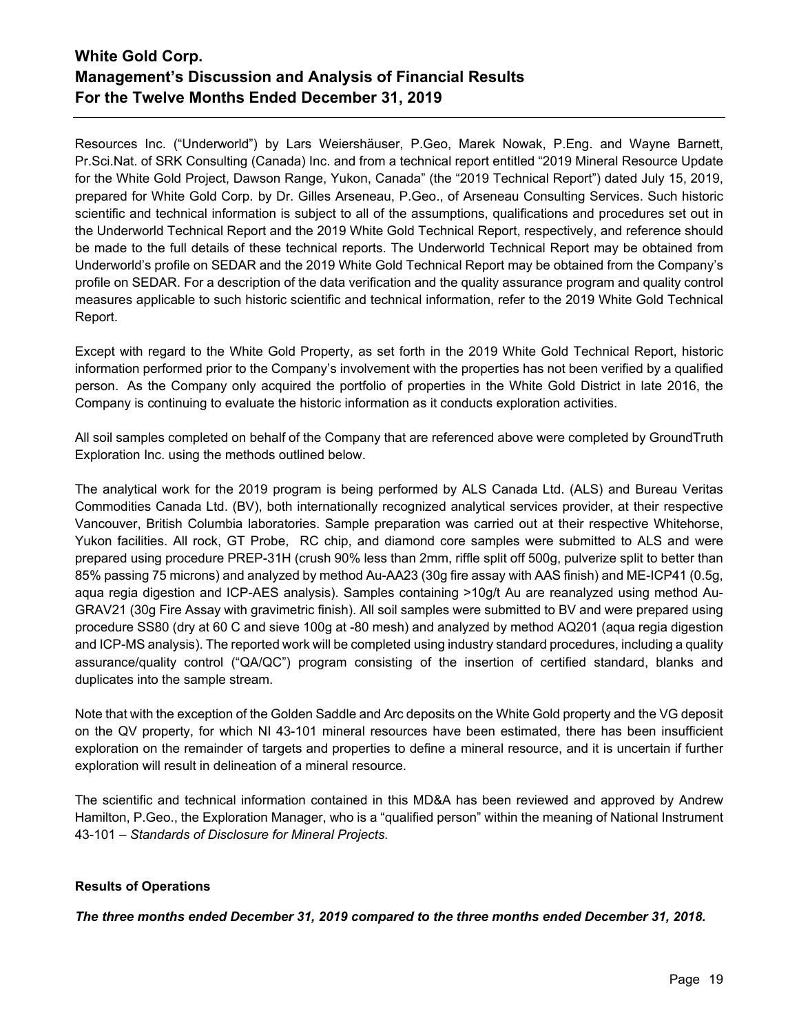Resources Inc. ("Underworld") by Lars Weiershäuser, P.Geo, Marek Nowak, P.Eng. and Wayne Barnett, Pr.Sci.Nat. of SRK Consulting (Canada) Inc. and from a technical report entitled "2019 Mineral Resource Update for the White Gold Project, Dawson Range, Yukon, Canada" (the "2019 Technical Report") dated July 15, 2019, prepared for White Gold Corp. by Dr. Gilles Arseneau, P.Geo., of Arseneau Consulting Services. Such historic scientific and technical information is subject to all of the assumptions, qualifications and procedures set out in the Underworld Technical Report and the 2019 White Gold Technical Report, respectively, and reference should be made to the full details of these technical reports. The Underworld Technical Report may be obtained from Underworld's profile on SEDAR and the 2019 White Gold Technical Report may be obtained from the Company's profile on SEDAR. For a description of the data verification and the quality assurance program and quality control measures applicable to such historic scientific and technical information, refer to the 2019 White Gold Technical Report.

Except with regard to the White Gold Property, as set forth in the 2019 White Gold Technical Report, historic information performed prior to the Company's involvement with the properties has not been verified by a qualified person. As the Company only acquired the portfolio of properties in the White Gold District in late 2016, the Company is continuing to evaluate the historic information as it conducts exploration activities.

All soil samples completed on behalf of the Company that are referenced above were completed by GroundTruth Exploration Inc. using the methods outlined below.

The analytical work for the 2019 program is being performed by ALS Canada Ltd. (ALS) and Bureau Veritas Commodities Canada Ltd. (BV), both internationally recognized analytical services provider, at their respective Vancouver, British Columbia laboratories. Sample preparation was carried out at their respective Whitehorse, Yukon facilities. All rock, GT Probe, RC chip, and diamond core samples were submitted to ALS and were prepared using procedure PREP-31H (crush 90% less than 2mm, riffle split off 500g, pulverize split to better than 85% passing 75 microns) and analyzed by method Au-AA23 (30g fire assay with AAS finish) and ME-ICP41 (0.5g, aqua regia digestion and ICP-AES analysis). Samples containing >10g/t Au are reanalyzed using method Au-GRAV21 (30g Fire Assay with gravimetric finish). All soil samples were submitted to BV and were prepared using procedure SS80 (dry at 60 C and sieve 100g at -80 mesh) and analyzed by method AQ201 (aqua regia digestion and ICP-MS analysis). The reported work will be completed using industry standard procedures, including a quality assurance/quality control ("QA/QC") program consisting of the insertion of certified standard, blanks and duplicates into the sample stream.

Note that with the exception of the Golden Saddle and Arc deposits on the White Gold property and the VG deposit on the QV property, for which NI 43-101 mineral resources have been estimated, there has been insufficient exploration on the remainder of targets and properties to define a mineral resource, and it is uncertain if further exploration will result in delineation of a mineral resource.

The scientific and technical information contained in this MD&A has been reviewed and approved by Andrew Hamilton, P.Geo., the Exploration Manager, who is a "qualified person" within the meaning of National Instrument 43-101 – *Standards of Disclosure for Mineral Projects*.

## **Results of Operations**

*The three months ended December 31, 2019 compared to the three months ended December 31, 2018.*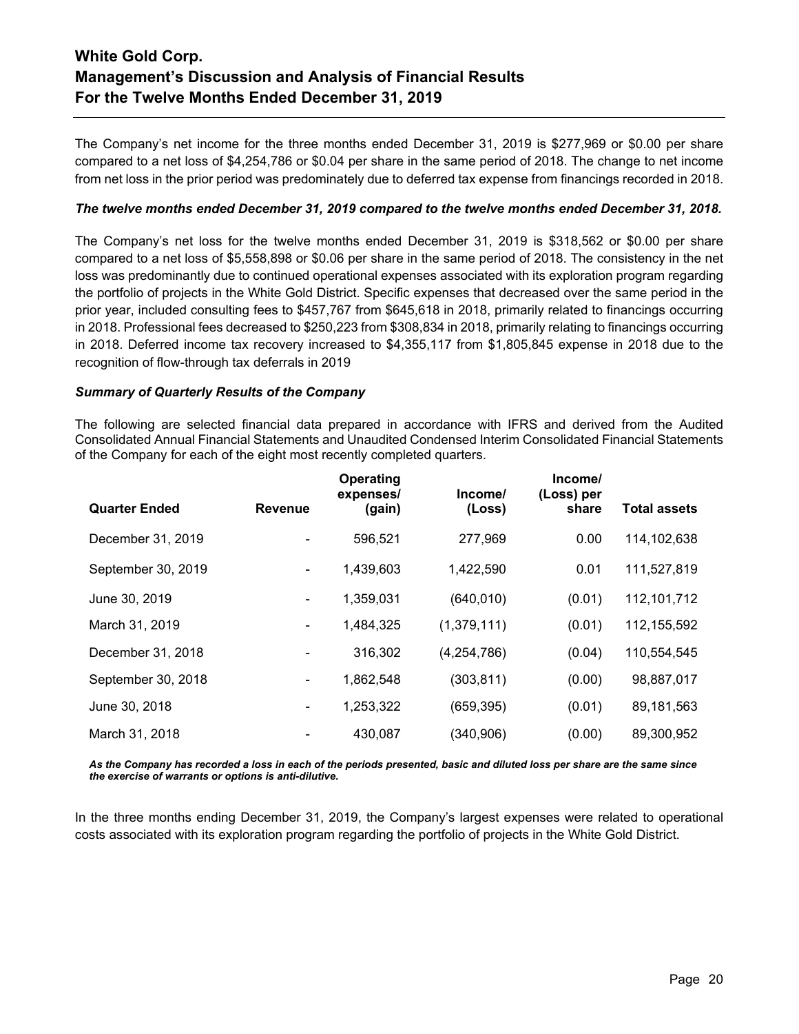The Company's net income for the three months ended December 31, 2019 is \$277,969 or \$0.00 per share compared to a net loss of \$4,254,786 or \$0.04 per share in the same period of 2018. The change to net income from net loss in the prior period was predominately due to deferred tax expense from financings recorded in 2018.

## *The twelve months ended December 31, 2019 compared to the twelve months ended December 31, 2018.*

The Company's net loss for the twelve months ended December 31, 2019 is \$318,562 or \$0.00 per share compared to a net loss of \$5,558,898 or \$0.06 per share in the same period of 2018. The consistency in the net loss was predominantly due to continued operational expenses associated with its exploration program regarding the portfolio of projects in the White Gold District. Specific expenses that decreased over the same period in the prior year, included consulting fees to \$457,767 from \$645,618 in 2018, primarily related to financings occurring in 2018. Professional fees decreased to \$250,223 from \$308,834 in 2018, primarily relating to financings occurring in 2018. Deferred income tax recovery increased to \$4,355,117 from \$1,805,845 expense in 2018 due to the recognition of flow-through tax deferrals in 2019

## *Summary of Quarterly Results of the Company*

The following are selected financial data prepared in accordance with IFRS and derived from the Audited Consolidated Annual Financial Statements and Unaudited Condensed Interim Consolidated Financial Statements of the Company for each of the eight most recently completed quarters.

| <b>Quarter Ended</b> | <b>Revenue</b> | Operating<br>expenses/<br>(gain) | Income/<br>(Loss) | Income/<br>(Loss) per<br>share | <b>Total assets</b> |
|----------------------|----------------|----------------------------------|-------------------|--------------------------------|---------------------|
|                      |                |                                  |                   |                                |                     |
| December 31, 2019    |                | 596,521                          | 277,969           | 0.00                           | 114,102,638         |
| September 30, 2019   |                | 1,439,603                        | 1,422,590         | 0.01                           | 111,527,819         |
| June 30, 2019        |                | 1,359,031                        | (640, 010)        | (0.01)                         | 112,101,712         |
| March 31, 2019       |                | 1,484,325                        | (1,379,111)       | (0.01)                         | 112, 155, 592       |
| December 31, 2018    |                | 316,302                          | (4,254,786)       | (0.04)                         | 110,554,545         |
| September 30, 2018   |                | 1,862,548                        | (303, 811)        | (0.00)                         | 98,887,017          |
| June 30, 2018        |                | 1,253,322                        | (659, 395)        | (0.01)                         | 89,181,563          |
| March 31, 2018       |                | 430,087                          | (340,906)         | (0.00)                         | 89,300,952          |

*As the Company has recorded a loss in each of the periods presented, basic and diluted loss per share are the same since the exercise of warrants or options is anti-dilutive.*

In the three months ending December 31, 2019, the Company's largest expenses were related to operational costs associated with its exploration program regarding the portfolio of projects in the White Gold District.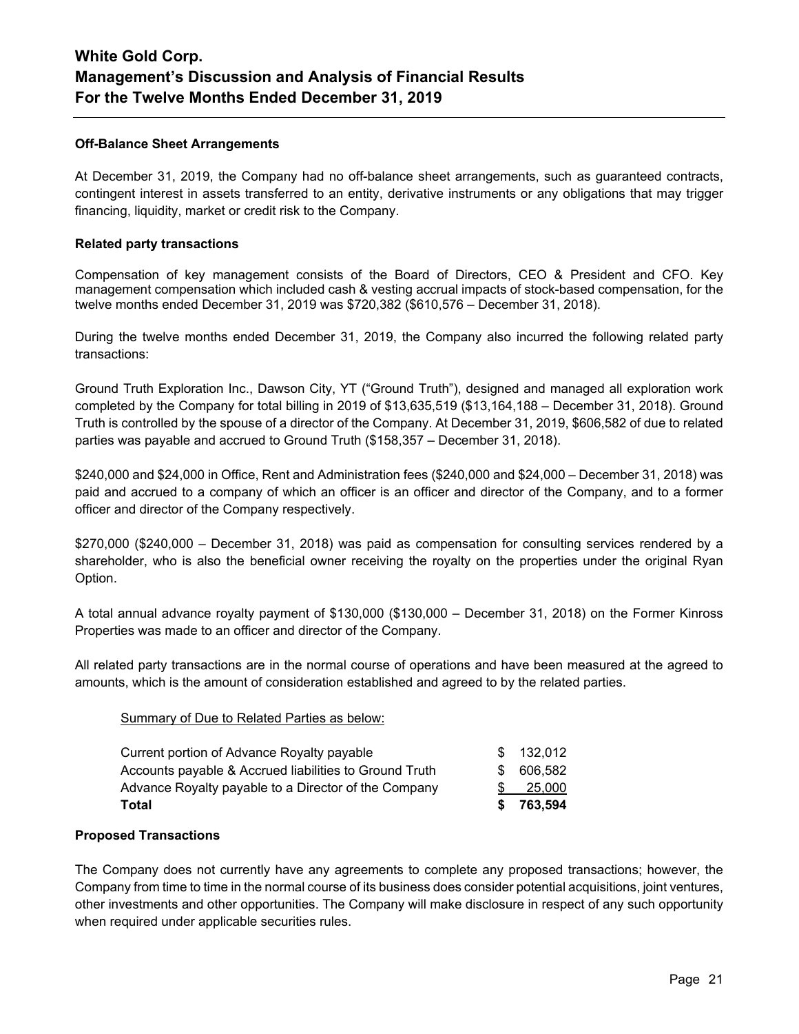### **Off-Balance Sheet Arrangements**

At December 31, 2019, the Company had no off-balance sheet arrangements, such as guaranteed contracts, contingent interest in assets transferred to an entity, derivative instruments or any obligations that may trigger financing, liquidity, market or credit risk to the Company.

### **Related party transactions**

Compensation of key management consists of the Board of Directors, CEO & President and CFO. Key management compensation which included cash & vesting accrual impacts of stock-based compensation, for the twelve months ended December 31, 2019 was \$720,382 (\$610,576 – December 31, 2018).

During the twelve months ended December 31, 2019, the Company also incurred the following related party transactions:

Ground Truth Exploration Inc., Dawson City, YT ("Ground Truth"), designed and managed all exploration work completed by the Company for total billing in 2019 of \$13,635,519 (\$13,164,188 – December 31, 2018). Ground Truth is controlled by the spouse of a director of the Company. At December 31, 2019, \$606,582 of due to related parties was payable and accrued to Ground Truth (\$158,357 – December 31, 2018).

\$240,000 and \$24,000 in Office, Rent and Administration fees (\$240,000 and \$24,000 – December 31, 2018) was paid and accrued to a company of which an officer is an officer and director of the Company, and to a former officer and director of the Company respectively.

\$270,000 (\$240,000 – December 31, 2018) was paid as compensation for consulting services rendered by a shareholder, who is also the beneficial owner receiving the royalty on the properties under the original Ryan Option.

A total annual advance royalty payment of \$130,000 (\$130,000 – December 31, 2018) on the Former Kinross Properties was made to an officer and director of the Company.

All related party transactions are in the normal course of operations and have been measured at the agreed to amounts, which is the amount of consideration established and agreed to by the related parties.

### Summary of Due to Related Parties as below:

| Total                                                  |    | \$763.594  |
|--------------------------------------------------------|----|------------|
| Advance Royalty payable to a Director of the Company   | S. | 25,000     |
| Accounts payable & Accrued liabilities to Ground Truth |    | \$ 606,582 |
| Current portion of Advance Royalty payable             |    | \$132.012  |

### **Proposed Transactions**

The Company does not currently have any agreements to complete any proposed transactions; however, the Company from time to time in the normal course of its business does consider potential acquisitions, joint ventures, other investments and other opportunities. The Company will make disclosure in respect of any such opportunity when required under applicable securities rules.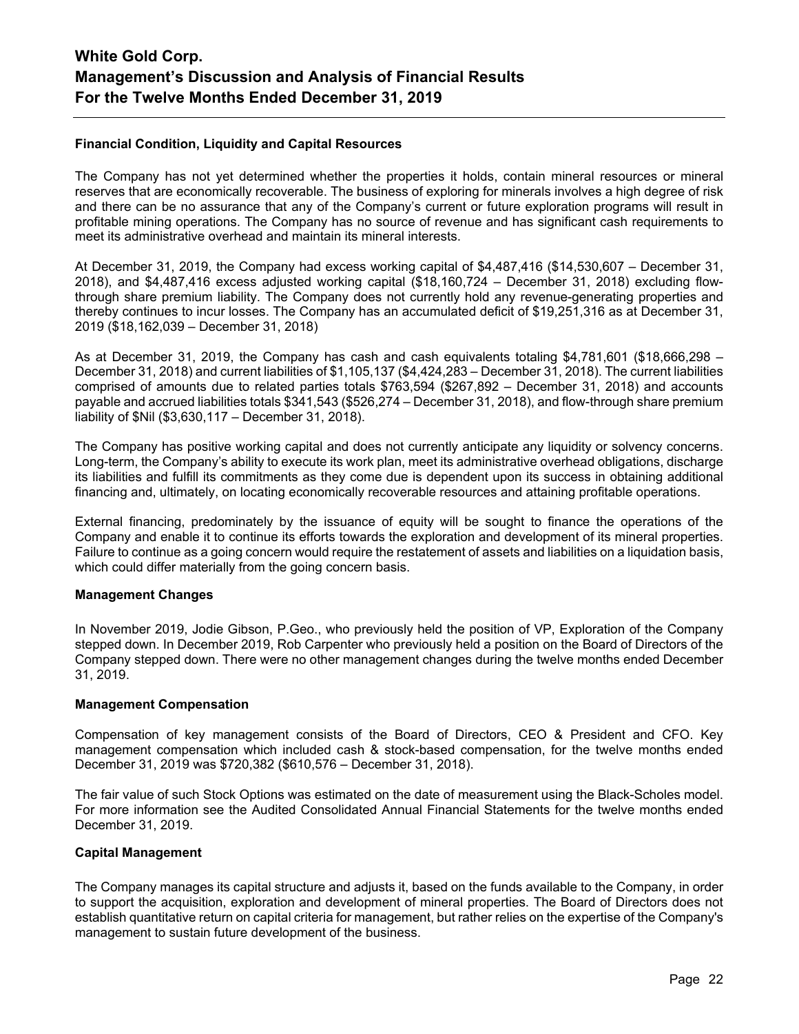## **Financial Condition, Liquidity and Capital Resources**

The Company has not yet determined whether the properties it holds, contain mineral resources or mineral reserves that are economically recoverable. The business of exploring for minerals involves a high degree of risk and there can be no assurance that any of the Company's current or future exploration programs will result in profitable mining operations. The Company has no source of revenue and has significant cash requirements to meet its administrative overhead and maintain its mineral interests.

At December 31, 2019, the Company had excess working capital of \$4,487,416 (\$14,530,607 – December 31, 2018), and \$4,487,416 excess adjusted working capital (\$18,160,724 – December 31, 2018) excluding flowthrough share premium liability. The Company does not currently hold any revenue-generating properties and thereby continues to incur losses. The Company has an accumulated deficit of \$19,251,316 as at December 31, 2019 (\$18,162,039 – December 31, 2018)

As at December 31, 2019, the Company has cash and cash equivalents totaling \$4,781,601 (\$18,666,298 – December 31, 2018) and current liabilities of \$1,105,137 (\$4,424,283 – December 31, 2018). The current liabilities comprised of amounts due to related parties totals \$763,594 (\$267,892 – December 31, 2018) and accounts payable and accrued liabilities totals \$341,543 (\$526,274 – December 31, 2018), and flow-through share premium liability of \$Nil (\$3,630,117 – December 31, 2018).

The Company has positive working capital and does not currently anticipate any liquidity or solvency concerns. Long-term, the Company's ability to execute its work plan, meet its administrative overhead obligations, discharge its liabilities and fulfill its commitments as they come due is dependent upon its success in obtaining additional financing and, ultimately, on locating economically recoverable resources and attaining profitable operations.

External financing, predominately by the issuance of equity will be sought to finance the operations of the Company and enable it to continue its efforts towards the exploration and development of its mineral properties. Failure to continue as a going concern would require the restatement of assets and liabilities on a liquidation basis, which could differ materially from the going concern basis.

### **Management Changes**

In November 2019, Jodie Gibson, P.Geo., who previously held the position of VP, Exploration of the Company stepped down. In December 2019, Rob Carpenter who previously held a position on the Board of Directors of the Company stepped down. There were no other management changes during the twelve months ended December 31, 2019.

### **Management Compensation**

Compensation of key management consists of the Board of Directors, CEO & President and CFO. Key management compensation which included cash & stock-based compensation, for the twelve months ended December 31, 2019 was \$720,382 (\$610,576 – December 31, 2018).

The fair value of such Stock Options was estimated on the date of measurement using the Black-Scholes model. For more information see the Audited Consolidated Annual Financial Statements for the twelve months ended December 31, 2019.

### **Capital Management**

The Company manages its capital structure and adjusts it, based on the funds available to the Company, in order to support the acquisition, exploration and development of mineral properties. The Board of Directors does not establish quantitative return on capital criteria for management, but rather relies on the expertise of the Company's management to sustain future development of the business.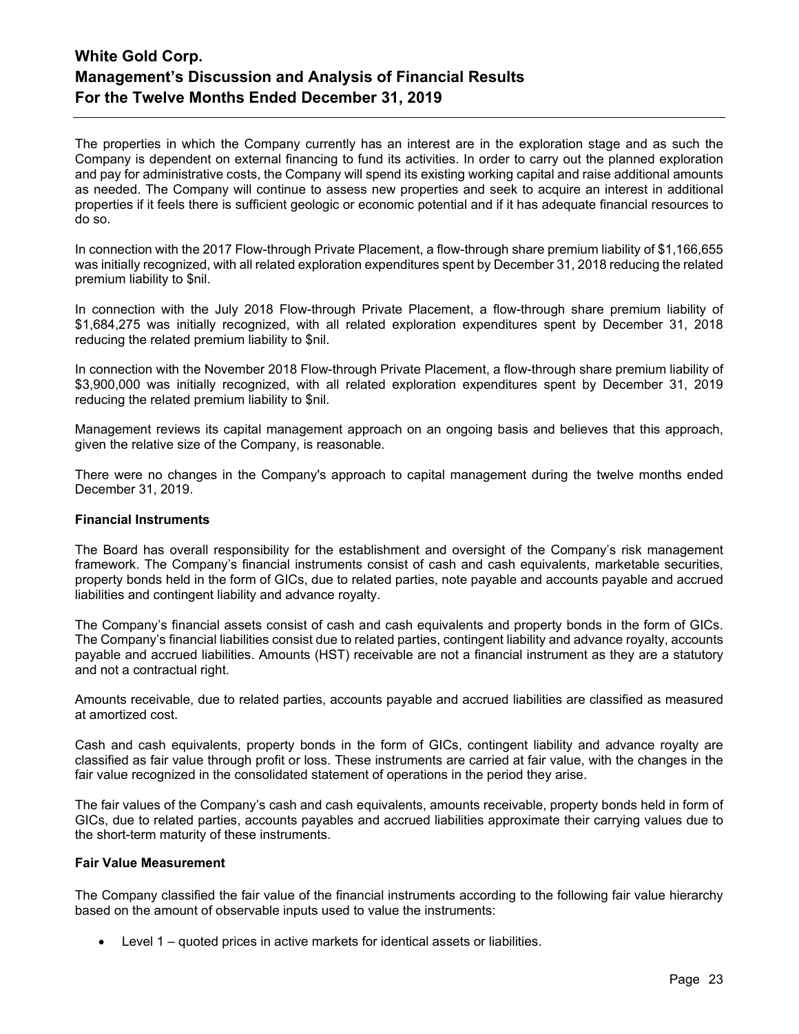The properties in which the Company currently has an interest are in the exploration stage and as such the Company is dependent on external financing to fund its activities. In order to carry out the planned exploration and pay for administrative costs, the Company will spend its existing working capital and raise additional amounts as needed. The Company will continue to assess new properties and seek to acquire an interest in additional properties if it feels there is sufficient geologic or economic potential and if it has adequate financial resources to do so.

In connection with the 2017 Flow-through Private Placement, a flow-through share premium liability of \$1,166,655 was initially recognized, with all related exploration expenditures spent by December 31, 2018 reducing the related premium liability to \$nil.

In connection with the July 2018 Flow-through Private Placement, a flow-through share premium liability of \$1,684,275 was initially recognized, with all related exploration expenditures spent by December 31, 2018 reducing the related premium liability to \$nil.

In connection with the November 2018 Flow-through Private Placement, a flow-through share premium liability of \$3,900,000 was initially recognized, with all related exploration expenditures spent by December 31, 2019 reducing the related premium liability to \$nil.

Management reviews its capital management approach on an ongoing basis and believes that this approach, given the relative size of the Company, is reasonable.

There were no changes in the Company's approach to capital management during the twelve months ended December 31, 2019.

### **Financial Instruments**

The Board has overall responsibility for the establishment and oversight of the Company's risk management framework. The Company's financial instruments consist of cash and cash equivalents, marketable securities, property bonds held in the form of GICs, due to related parties, note payable and accounts payable and accrued liabilities and contingent liability and advance royalty.

The Company's financial assets consist of cash and cash equivalents and property bonds in the form of GICs. The Company's financial liabilities consist due to related parties, contingent liability and advance royalty, accounts payable and accrued liabilities. Amounts (HST) receivable are not a financial instrument as they are a statutory and not a contractual right.

Amounts receivable, due to related parties, accounts payable and accrued liabilities are classified as measured at amortized cost.

Cash and cash equivalents, property bonds in the form of GICs, contingent liability and advance royalty are classified as fair value through profit or loss. These instruments are carried at fair value, with the changes in the fair value recognized in the consolidated statement of operations in the period they arise.

The fair values of the Company's cash and cash equivalents, amounts receivable, property bonds held in form of GICs, due to related parties, accounts payables and accrued liabilities approximate their carrying values due to the short-term maturity of these instruments.

#### **Fair Value Measurement**

The Company classified the fair value of the financial instruments according to the following fair value hierarchy based on the amount of observable inputs used to value the instruments:

• Level 1 – quoted prices in active markets for identical assets or liabilities.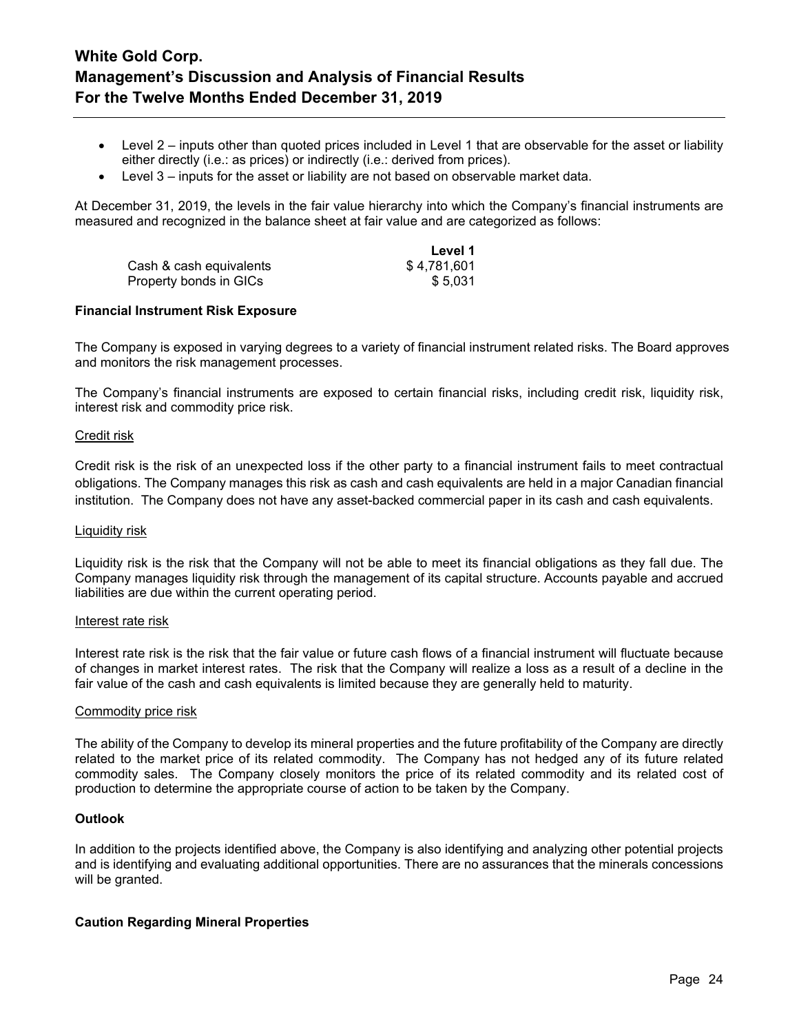- Level 2 inputs other than quoted prices included in Level 1 that are observable for the asset or liability either directly (i.e.: as prices) or indirectly (i.e.: derived from prices).
- Level 3 inputs for the asset or liability are not based on observable market data.

At December 31, 2019, the levels in the fair value hierarchy into which the Company's financial instruments are measured and recognized in the balance sheet at fair value and are categorized as follows:

**Level 1**

|                         | Level 1     |
|-------------------------|-------------|
| Cash & cash equivalents | \$4,781,601 |
| Property bonds in GICs  | \$5.031     |

### **Financial Instrument Risk Exposure**

The Company is exposed in varying degrees to a variety of financial instrument related risks. The Board approves and monitors the risk management processes.

The Company's financial instruments are exposed to certain financial risks, including credit risk, liquidity risk, interest risk and commodity price risk.

#### Credit risk

Credit risk is the risk of an unexpected loss if the other party to a financial instrument fails to meet contractual obligations. The Company manages this risk as cash and cash equivalents are held in a major Canadian financial institution. The Company does not have any asset-backed commercial paper in its cash and cash equivalents.

#### Liquidity risk

Liquidity risk is the risk that the Company will not be able to meet its financial obligations as they fall due. The Company manages liquidity risk through the management of its capital structure. Accounts payable and accrued liabilities are due within the current operating period.

#### Interest rate risk

Interest rate risk is the risk that the fair value or future cash flows of a financial instrument will fluctuate because of changes in market interest rates. The risk that the Company will realize a loss as a result of a decline in the fair value of the cash and cash equivalents is limited because they are generally held to maturity.

#### Commodity price risk

The ability of the Company to develop its mineral properties and the future profitability of the Company are directly related to the market price of its related commodity. The Company has not hedged any of its future related commodity sales. The Company closely monitors the price of its related commodity and its related cost of production to determine the appropriate course of action to be taken by the Company.

### **Outlook**

In addition to the projects identified above, the Company is also identifying and analyzing other potential projects and is identifying and evaluating additional opportunities. There are no assurances that the minerals concessions will be granted.

### **Caution Regarding Mineral Properties**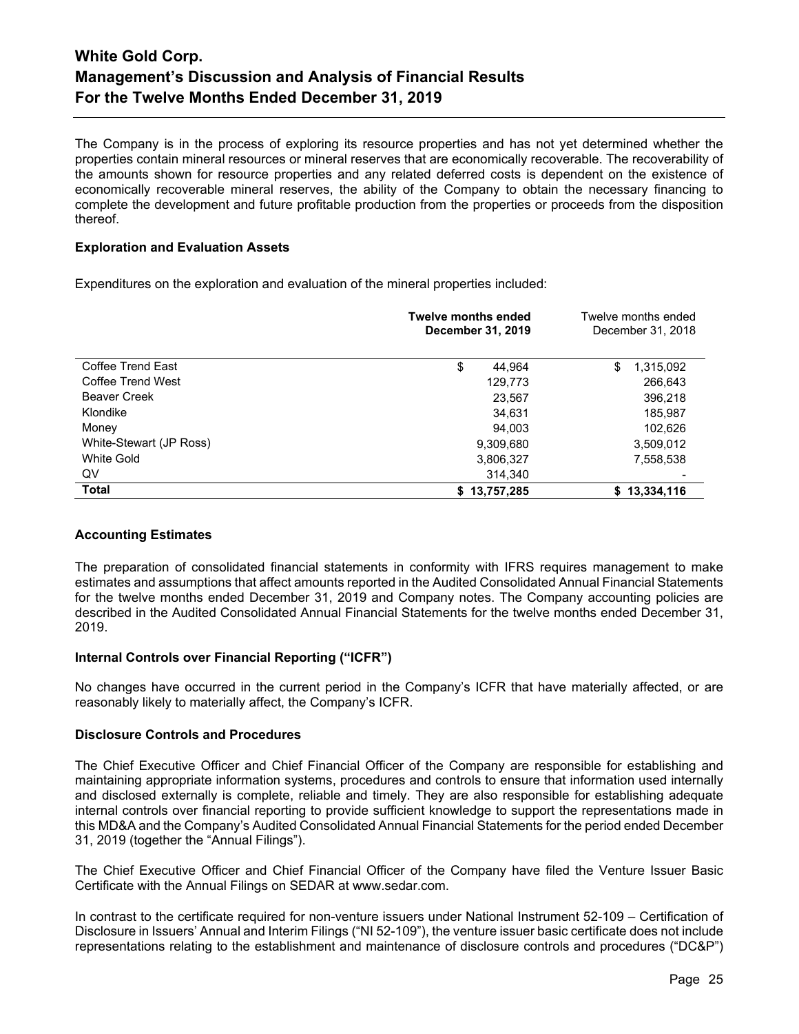The Company is in the process of exploring its resource properties and has not yet determined whether the properties contain mineral resources or mineral reserves that are economically recoverable. The recoverability of the amounts shown for resource properties and any related deferred costs is dependent on the existence of economically recoverable mineral reserves, the ability of the Company to obtain the necessary financing to complete the development and future profitable production from the properties or proceeds from the disposition thereof.

## **Exploration and Evaluation Assets**

Expenditures on the exploration and evaluation of the mineral properties included:

|                         | <b>Twelve months ended</b><br>December 31, 2019 | Twelve months ended<br>December 31, 2018 |
|-------------------------|-------------------------------------------------|------------------------------------------|
| Coffee Trend East       | \$<br>44,964                                    | \$<br>1,315,092                          |
| Coffee Trend West       | 129,773                                         | 266,643                                  |
| <b>Beaver Creek</b>     | 23,567                                          | 396,218                                  |
| Klondike                | 34,631                                          | 185,987                                  |
| Money                   | 94,003                                          | 102,626                                  |
| White-Stewart (JP Ross) | 9,309,680                                       | 3,509,012                                |
| White Gold              | 3,806,327                                       | 7,558,538                                |
| QV                      | 314,340                                         |                                          |
| <b>Total</b>            | \$13,757,285                                    | \$13,334,116                             |

### **Accounting Estimates**

The preparation of consolidated financial statements in conformity with IFRS requires management to make estimates and assumptions that affect amounts reported in the Audited Consolidated Annual Financial Statements for the twelve months ended December 31, 2019 and Company notes. The Company accounting policies are described in the Audited Consolidated Annual Financial Statements for the twelve months ended December 31, 2019.

### **Internal Controls over Financial Reporting ("ICFR")**

No changes have occurred in the current period in the Company's ICFR that have materially affected, or are reasonably likely to materially affect, the Company's ICFR.

### **Disclosure Controls and Procedures**

The Chief Executive Officer and Chief Financial Officer of the Company are responsible for establishing and maintaining appropriate information systems, procedures and controls to ensure that information used internally and disclosed externally is complete, reliable and timely. They are also responsible for establishing adequate internal controls over financial reporting to provide sufficient knowledge to support the representations made in this MD&A and the Company's Audited Consolidated Annual Financial Statements for the period ended December 31, 2019 (together the "Annual Filings").

The Chief Executive Officer and Chief Financial Officer of the Company have filed the Venture Issuer Basic Certificate with the Annual Filings on SEDAR at www.sedar.com.

In contrast to the certificate required for non-venture issuers under National Instrument 52-109 – Certification of Disclosure in Issuers' Annual and Interim Filings ("NI 52-109"), the venture issuer basic certificate does not include representations relating to the establishment and maintenance of disclosure controls and procedures ("DC&P")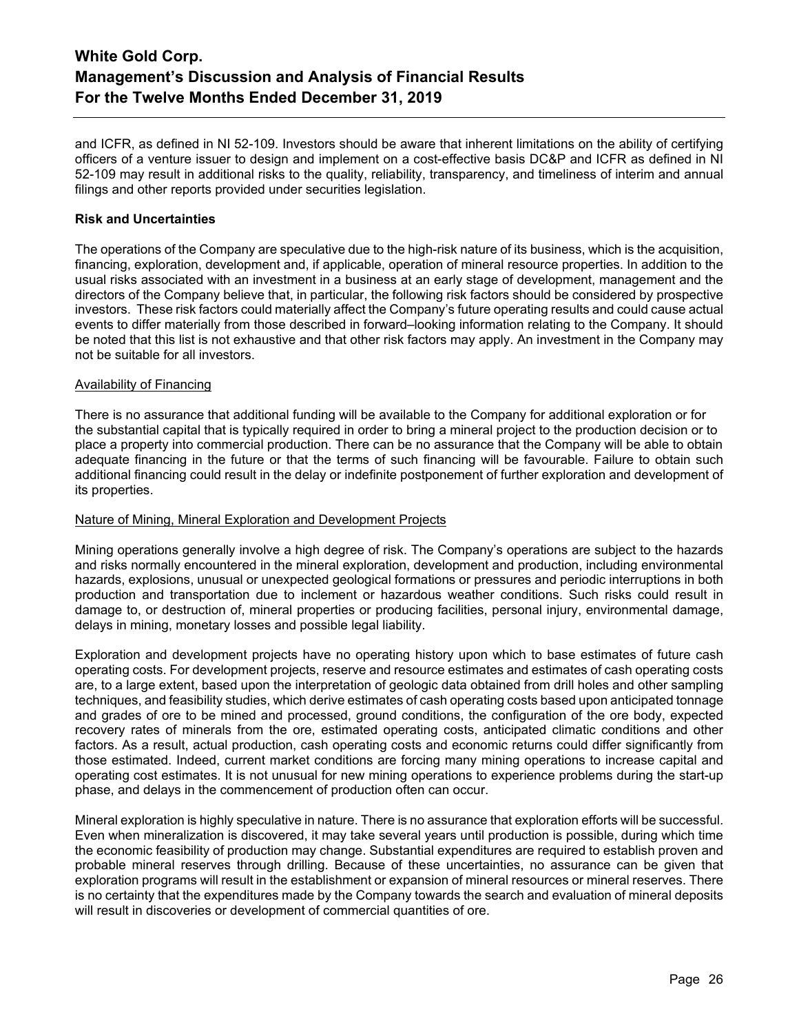and ICFR, as defined in NI 52-109. Investors should be aware that inherent limitations on the ability of certifying officers of a venture issuer to design and implement on a cost-effective basis DC&P and ICFR as defined in NI 52-109 may result in additional risks to the quality, reliability, transparency, and timeliness of interim and annual filings and other reports provided under securities legislation.

### **Risk and Uncertainties**

The operations of the Company are speculative due to the high-risk nature of its business, which is the acquisition, financing, exploration, development and, if applicable, operation of mineral resource properties. In addition to the usual risks associated with an investment in a business at an early stage of development, management and the directors of the Company believe that, in particular, the following risk factors should be considered by prospective investors. These risk factors could materially affect the Company's future operating results and could cause actual events to differ materially from those described in forward–looking information relating to the Company. It should be noted that this list is not exhaustive and that other risk factors may apply. An investment in the Company may not be suitable for all investors.

### Availability of Financing

There is no assurance that additional funding will be available to the Company for additional exploration or for the substantial capital that is typically required in order to bring a mineral project to the production decision or to place a property into commercial production. There can be no assurance that the Company will be able to obtain adequate financing in the future or that the terms of such financing will be favourable. Failure to obtain such additional financing could result in the delay or indefinite postponement of further exploration and development of its properties.

### Nature of Mining, Mineral Exploration and Development Projects

Mining operations generally involve a high degree of risk. The Company's operations are subject to the hazards and risks normally encountered in the mineral exploration, development and production, including environmental hazards, explosions, unusual or unexpected geological formations or pressures and periodic interruptions in both production and transportation due to inclement or hazardous weather conditions. Such risks could result in damage to, or destruction of, mineral properties or producing facilities, personal injury, environmental damage, delays in mining, monetary losses and possible legal liability.

Exploration and development projects have no operating history upon which to base estimates of future cash operating costs. For development projects, reserve and resource estimates and estimates of cash operating costs are, to a large extent, based upon the interpretation of geologic data obtained from drill holes and other sampling techniques, and feasibility studies, which derive estimates of cash operating costs based upon anticipated tonnage and grades of ore to be mined and processed, ground conditions, the configuration of the ore body, expected recovery rates of minerals from the ore, estimated operating costs, anticipated climatic conditions and other factors. As a result, actual production, cash operating costs and economic returns could differ significantly from those estimated. Indeed, current market conditions are forcing many mining operations to increase capital and operating cost estimates. It is not unusual for new mining operations to experience problems during the start-up phase, and delays in the commencement of production often can occur.

Mineral exploration is highly speculative in nature. There is no assurance that exploration efforts will be successful. Even when mineralization is discovered, it may take several years until production is possible, during which time the economic feasibility of production may change. Substantial expenditures are required to establish proven and probable mineral reserves through drilling. Because of these uncertainties, no assurance can be given that exploration programs will result in the establishment or expansion of mineral resources or mineral reserves. There is no certainty that the expenditures made by the Company towards the search and evaluation of mineral deposits will result in discoveries or development of commercial quantities of ore.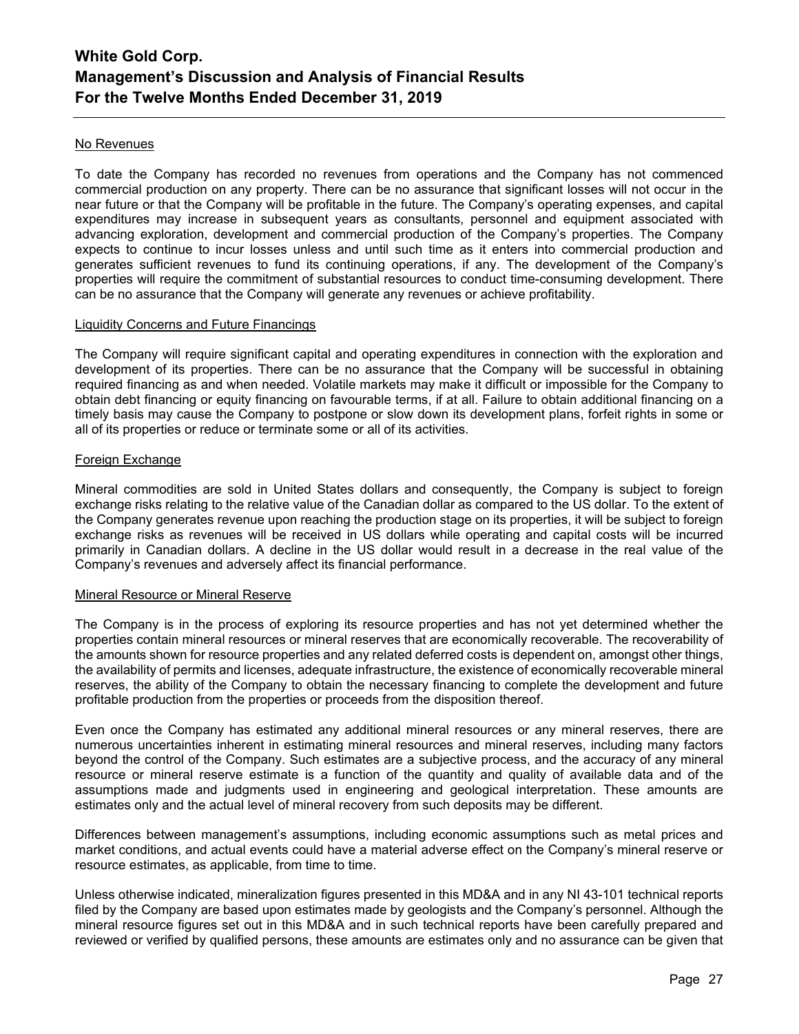### No Revenues

To date the Company has recorded no revenues from operations and the Company has not commenced commercial production on any property. There can be no assurance that significant losses will not occur in the near future or that the Company will be profitable in the future. The Company's operating expenses, and capital expenditures may increase in subsequent years as consultants, personnel and equipment associated with advancing exploration, development and commercial production of the Company's properties. The Company expects to continue to incur losses unless and until such time as it enters into commercial production and generates sufficient revenues to fund its continuing operations, if any. The development of the Company's properties will require the commitment of substantial resources to conduct time-consuming development. There can be no assurance that the Company will generate any revenues or achieve profitability.

### Liquidity Concerns and Future Financings

The Company will require significant capital and operating expenditures in connection with the exploration and development of its properties. There can be no assurance that the Company will be successful in obtaining required financing as and when needed. Volatile markets may make it difficult or impossible for the Company to obtain debt financing or equity financing on favourable terms, if at all. Failure to obtain additional financing on a timely basis may cause the Company to postpone or slow down its development plans, forfeit rights in some or all of its properties or reduce or terminate some or all of its activities.

### Foreign Exchange

Mineral commodities are sold in United States dollars and consequently, the Company is subject to foreign exchange risks relating to the relative value of the Canadian dollar as compared to the US dollar. To the extent of the Company generates revenue upon reaching the production stage on its properties, it will be subject to foreign exchange risks as revenues will be received in US dollars while operating and capital costs will be incurred primarily in Canadian dollars. A decline in the US dollar would result in a decrease in the real value of the Company's revenues and adversely affect its financial performance.

#### Mineral Resource or Mineral Reserve

The Company is in the process of exploring its resource properties and has not yet determined whether the properties contain mineral resources or mineral reserves that are economically recoverable. The recoverability of the amounts shown for resource properties and any related deferred costs is dependent on, amongst other things, the availability of permits and licenses, adequate infrastructure, the existence of economically recoverable mineral reserves, the ability of the Company to obtain the necessary financing to complete the development and future profitable production from the properties or proceeds from the disposition thereof.

Even once the Company has estimated any additional mineral resources or any mineral reserves, there are numerous uncertainties inherent in estimating mineral resources and mineral reserves, including many factors beyond the control of the Company. Such estimates are a subjective process, and the accuracy of any mineral resource or mineral reserve estimate is a function of the quantity and quality of available data and of the assumptions made and judgments used in engineering and geological interpretation. These amounts are estimates only and the actual level of mineral recovery from such deposits may be different.

Differences between management's assumptions, including economic assumptions such as metal prices and market conditions, and actual events could have a material adverse effect on the Company's mineral reserve or resource estimates, as applicable, from time to time.

Unless otherwise indicated, mineralization figures presented in this MD&A and in any NI 43-101 technical reports filed by the Company are based upon estimates made by geologists and the Company's personnel. Although the mineral resource figures set out in this MD&A and in such technical reports have been carefully prepared and reviewed or verified by qualified persons, these amounts are estimates only and no assurance can be given that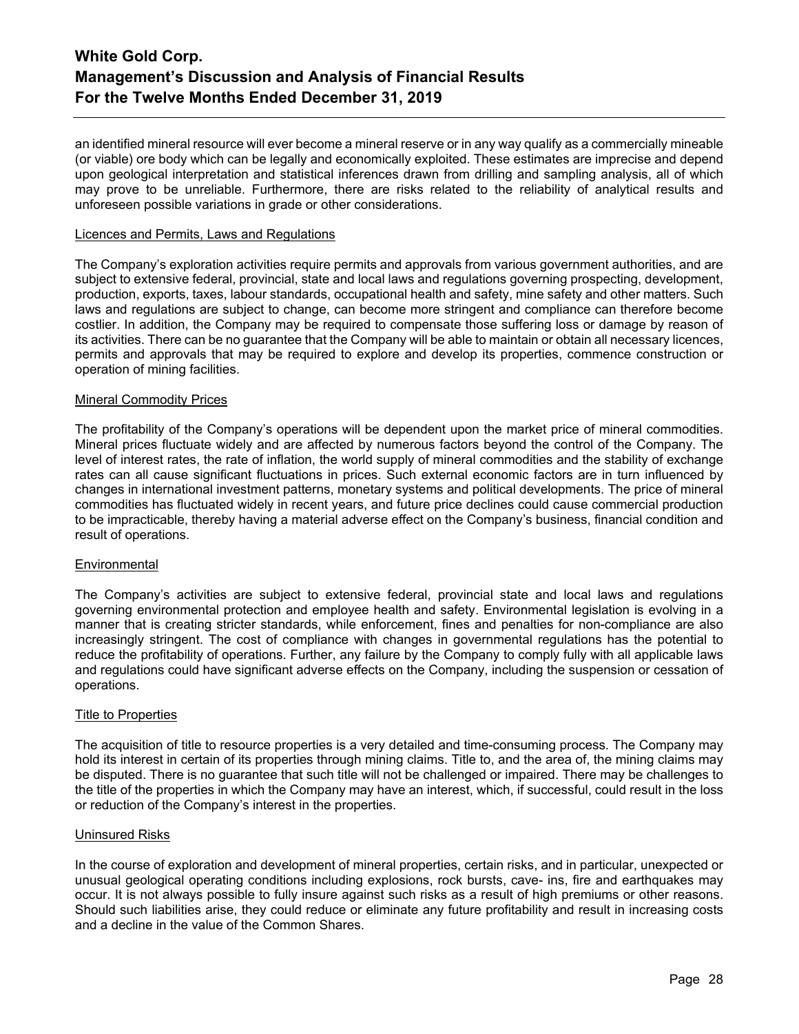an identified mineral resource will ever become a mineral reserve or in any way qualify as a commercially mineable (or viable) ore body which can be legally and economically exploited. These estimates are imprecise and depend upon geological interpretation and statistical inferences drawn from drilling and sampling analysis, all of which may prove to be unreliable. Furthermore, there are risks related to the reliability of analytical results and unforeseen possible variations in grade or other considerations.

#### Licences and Permits, Laws and Regulations

The Company's exploration activities require permits and approvals from various government authorities, and are subject to extensive federal, provincial, state and local laws and regulations governing prospecting, development, production, exports, taxes, labour standards, occupational health and safety, mine safety and other matters. Such laws and regulations are subject to change, can become more stringent and compliance can therefore become costlier. In addition, the Company may be required to compensate those suffering loss or damage by reason of its activities. There can be no guarantee that the Company will be able to maintain or obtain all necessary licences, permits and approvals that may be required to explore and develop its properties, commence construction or operation of mining facilities.

#### Mineral Commodity Prices

The profitability of the Company's operations will be dependent upon the market price of mineral commodities. Mineral prices fluctuate widely and are affected by numerous factors beyond the control of the Company. The level of interest rates, the rate of inflation, the world supply of mineral commodities and the stability of exchange rates can all cause significant fluctuations in prices. Such external economic factors are in turn influenced by changes in international investment patterns, monetary systems and political developments. The price of mineral commodities has fluctuated widely in recent years, and future price declines could cause commercial production to be impracticable, thereby having a material adverse effect on the Company's business, financial condition and result of operations.

### **Environmental**

The Company's activities are subject to extensive federal, provincial state and local laws and regulations governing environmental protection and employee health and safety. Environmental legislation is evolving in a manner that is creating stricter standards, while enforcement, fines and penalties for non-compliance are also increasingly stringent. The cost of compliance with changes in governmental regulations has the potential to reduce the profitability of operations. Further, any failure by the Company to comply fully with all applicable laws and regulations could have significant adverse effects on the Company, including the suspension or cessation of operations.

#### Title to Properties

The acquisition of title to resource properties is a very detailed and time-consuming process. The Company may hold its interest in certain of its properties through mining claims. Title to, and the area of, the mining claims may be disputed. There is no guarantee that such title will not be challenged or impaired. There may be challenges to the title of the properties in which the Company may have an interest, which, if successful, could result in the loss or reduction of the Company's interest in the properties.

#### Uninsured Risks

In the course of exploration and development of mineral properties, certain risks, and in particular, unexpected or unusual geological operating conditions including explosions, rock bursts, cave- ins, fire and earthquakes may occur. It is not always possible to fully insure against such risks as a result of high premiums or other reasons. Should such liabilities arise, they could reduce or eliminate any future profitability and result in increasing costs and a decline in the value of the Common Shares.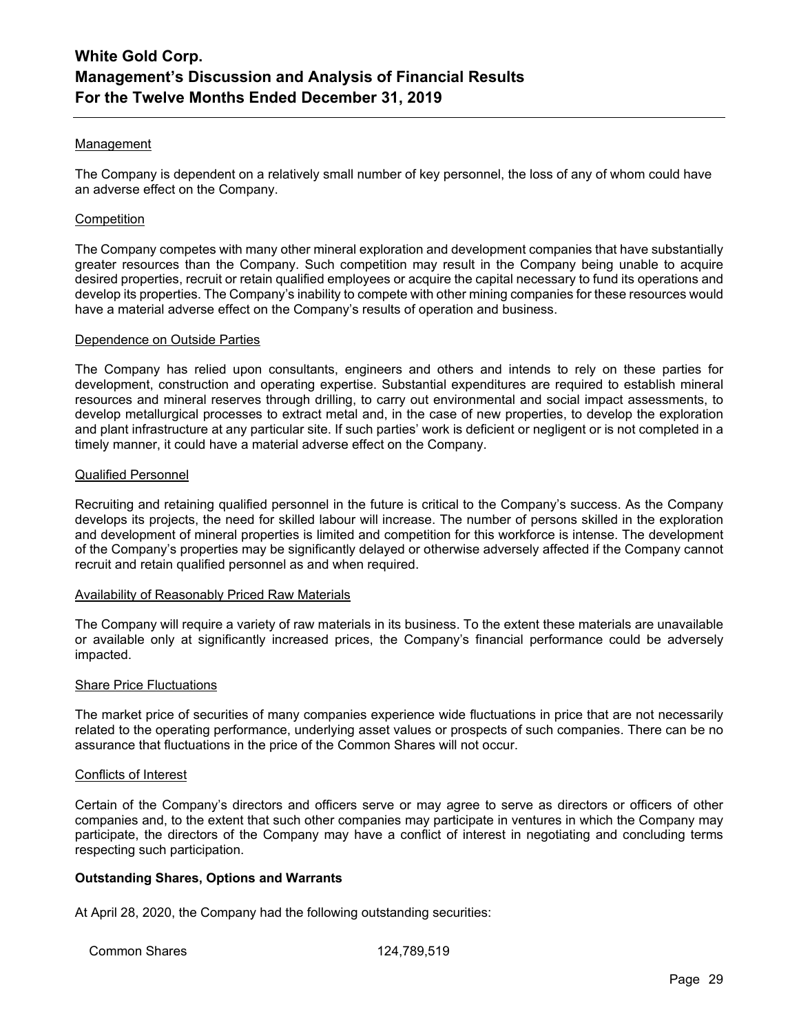### Management

The Company is dependent on a relatively small number of key personnel, the loss of any of whom could have an adverse effect on the Company.

#### **Competition**

The Company competes with many other mineral exploration and development companies that have substantially greater resources than the Company. Such competition may result in the Company being unable to acquire desired properties, recruit or retain qualified employees or acquire the capital necessary to fund its operations and develop its properties. The Company's inability to compete with other mining companies for these resources would have a material adverse effect on the Company's results of operation and business.

#### Dependence on Outside Parties

The Company has relied upon consultants, engineers and others and intends to rely on these parties for development, construction and operating expertise. Substantial expenditures are required to establish mineral resources and mineral reserves through drilling, to carry out environmental and social impact assessments, to develop metallurgical processes to extract metal and, in the case of new properties, to develop the exploration and plant infrastructure at any particular site. If such parties' work is deficient or negligent or is not completed in a timely manner, it could have a material adverse effect on the Company.

#### Qualified Personnel

Recruiting and retaining qualified personnel in the future is critical to the Company's success. As the Company develops its projects, the need for skilled labour will increase. The number of persons skilled in the exploration and development of mineral properties is limited and competition for this workforce is intense. The development of the Company's properties may be significantly delayed or otherwise adversely affected if the Company cannot recruit and retain qualified personnel as and when required.

#### Availability of Reasonably Priced Raw Materials

The Company will require a variety of raw materials in its business. To the extent these materials are unavailable or available only at significantly increased prices, the Company's financial performance could be adversely impacted.

#### Share Price Fluctuations

The market price of securities of many companies experience wide fluctuations in price that are not necessarily related to the operating performance, underlying asset values or prospects of such companies. There can be no assurance that fluctuations in the price of the Common Shares will not occur.

#### Conflicts of Interest

Certain of the Company's directors and officers serve or may agree to serve as directors or officers of other companies and, to the extent that such other companies may participate in ventures in which the Company may participate, the directors of the Company may have a conflict of interest in negotiating and concluding terms respecting such participation.

### **Outstanding Shares, Options and Warrants**

At April 28, 2020, the Company had the following outstanding securities:

Common Shares 124,789,519